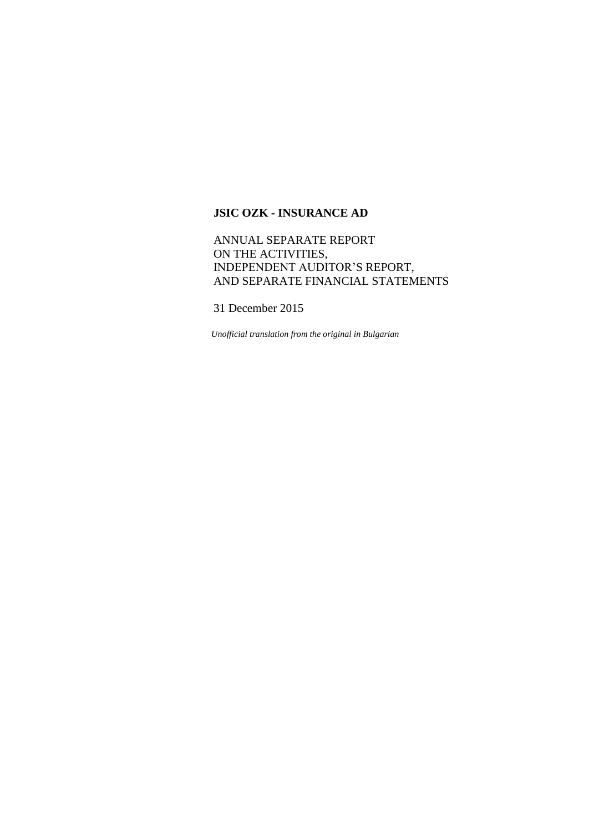# ANNUAL SEPARATE REPORT ON THE ACTIVITIES, INDEPENDENT AUDITOR'S REPORT, AND SEPARATE FINANCIAL STATEMENTS

31 December 2015

*Unofficial translation from the original in Bulgarian*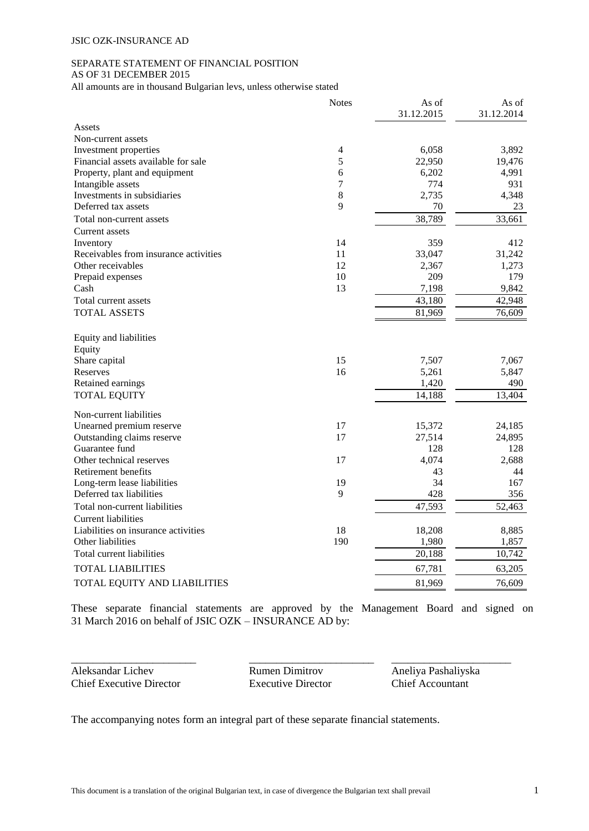# SEPARATE STATEMENT OF FINANCIAL POSITION

AS OF 31 DECEMBER 2015

All amounts are in thousand Bulgarian levs, unless otherwise stated

|                                       | <b>Notes</b>   | As of      | As of      |
|---------------------------------------|----------------|------------|------------|
|                                       |                | 31.12.2015 | 31.12.2014 |
| Assets                                |                |            |            |
| Non-current assets                    |                |            |            |
| Investment properties                 | $\overline{4}$ | 6,058      | 3,892      |
| Financial assets available for sale   | 5              | 22,950     | 19,476     |
| Property, plant and equipment         | 6              | 6,202      | 4,991      |
| Intangible assets                     | $\overline{7}$ | 774        | 931        |
| Investments in subsidiaries           | 8              | 2,735      | 4,348      |
| Deferred tax assets                   | 9              | 70         | 23         |
| Total non-current assets              |                | 38,789     | 33,661     |
| Current assets                        |                |            |            |
| Inventory                             | 14             | 359        | 412        |
| Receivables from insurance activities | 11             | 33,047     | 31,242     |
| Other receivables                     | 12             | 2,367      | 1,273      |
| Prepaid expenses                      | 10             | 209        | 179        |
| Cash                                  | 13             | 7,198      | 9,842      |
| Total current assets                  |                | 43,180     | 42,948     |
| <b>TOTAL ASSETS</b>                   |                | 81,969     | 76,609     |
| Equity and liabilities                |                |            |            |
| Equity                                |                |            |            |
| Share capital                         | 15             | 7,507      | 7,067      |
| Reserves                              | 16             | 5,261      | 5,847      |
| Retained earnings                     |                | 1,420      | 490        |
| <b>TOTAL EQUITY</b>                   |                | 14,188     | 13,404     |
| Non-current liabilities               |                |            |            |
| Unearned premium reserve              | 17             | 15,372     | 24,185     |
| Outstanding claims reserve            | 17             | 27,514     | 24,895     |
| Guarantee fund                        |                | 128        | 128        |
| Other technical reserves              | 17             | 4,074      | 2,688      |
| Retirement benefits                   |                | 43         | 44         |
| Long-term lease liabilities           | 19             | 34         | 167        |
| Deferred tax liabilities              | 9              | 428        | 356        |
| Total non-current liabilities         |                | 47,593     | 52,463     |
| <b>Current liabilities</b>            |                |            |            |
| Liabilities on insurance activities   | 18             | 18,208     | 8,885      |
| Other liabilities                     | 190            | 1,980      | 1,857      |
| Total current liabilities             |                | 20,188     | 10,742     |
| <b>TOTAL LIABILITIES</b>              |                | 67,781     | 63,205     |
| TOTAL EQUITY AND LIABILITIES          |                | 81,969     | 76,609     |

These separate financial statements are approved by the Management Board and signed on 31 March 2016 on behalf of JSIC OZK – INSURANCE AD by:

\_\_\_\_\_\_\_\_\_\_\_\_\_\_\_\_\_\_\_\_\_\_\_ \_\_\_\_\_\_\_\_\_\_\_\_\_\_\_\_\_\_\_\_\_\_\_ \_\_\_\_\_\_\_\_\_\_\_\_\_\_\_\_\_\_\_\_\_\_ Aleksandar Lichev Rumen Dimitrov Aneliya Pashaliyska<br>
Chief Executive Director Executive Director Chief Accountant Chief Executive Director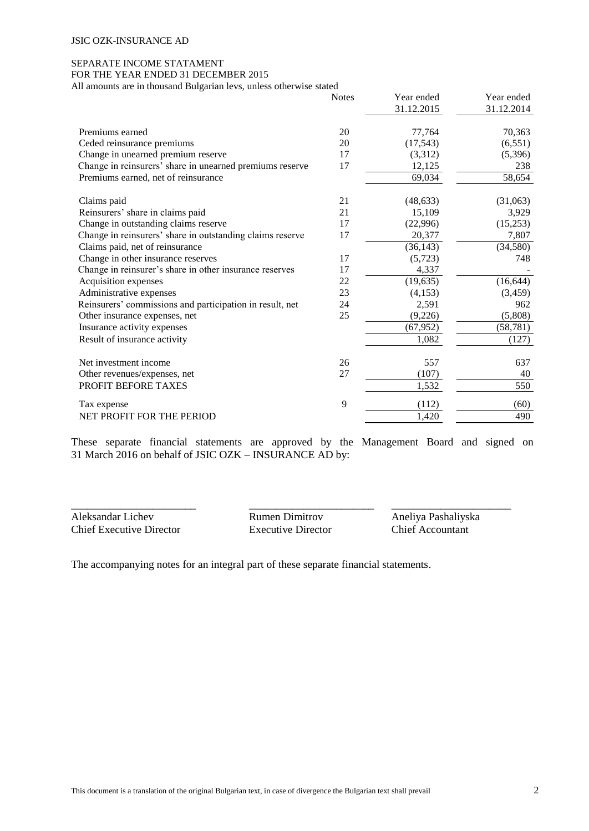# SEPARATE INCOME STATAMENT

FOR THE YEAR ENDED 31 DECEMBER 2015

All amounts are in thousand Bulgarian levs, unless otherwise stated

|                                                           | <b>Notes</b> | Year ended | Year ended |
|-----------------------------------------------------------|--------------|------------|------------|
|                                                           |              | 31.12.2015 | 31.12.2014 |
| Premiums earned                                           | 20           | 77,764     | 70,363     |
| Ceded reinsurance premiums                                | 20           | (17, 543)  | (6, 551)   |
| Change in unearned premium reserve                        | 17           | (3,312)    | (5,396)    |
| Change in reinsurers' share in unearned premiums reserve  | 17           | 12,125     | 238        |
| Premiums earned, net of reinsurance                       |              | 69,034     | 58,654     |
| Claims paid                                               | 21           | (48, 633)  | (31,063)   |
| Reinsurers' share in claims paid                          | 21           | 15,109     | 3,929      |
| Change in outstanding claims reserve                      | 17           | (22,996)   | (15,253)   |
| Change in reinsurers' share in outstanding claims reserve | 17           | 20,377     | 7,807      |
| Claims paid, net of reinsurance                           |              | (36, 143)  | (34, 580)  |
| Change in other insurance reserves                        | 17           | (5,723)    | 748        |
| Change in reinsurer's share in other insurance reserves   | 17           | 4,337      |            |
| Acquisition expenses                                      | 22           | (19, 635)  | (16, 644)  |
| Administrative expenses                                   | 23           | (4, 153)   | (3, 459)   |
| Reinsurers' commissions and participation in result, net  | 24           | 2,591      | 962        |
| Other insurance expenses, net                             | 25           | (9,226)    | (5,808)    |
| Insurance activity expenses                               |              | (67, 952)  | (58, 781)  |
| Result of insurance activity                              |              | 1,082      | (127)      |
| Net investment income                                     | 26           | 557        | 637        |
| Other revenues/expenses, net                              | 27           | (107)      | 40         |
| PROFIT BEFORE TAXES                                       |              | 1,532      | 550        |
| Tax expense                                               | 9            | (112)      | (60)       |
| NET PROFIT FOR THE PERIOD                                 |              | 1,420      | 490        |

These separate financial statements are approved by the Management Board and signed on 31 March 2016 on behalf of JSIC OZK – INSURANCE AD by:

Aleksandar Lichev Rumen Dimitrov Aneliya Pashaliyska Chief Executive Director Executive Director Chief Accountant

\_\_\_\_\_\_\_\_\_\_\_\_\_\_\_\_\_\_\_\_\_\_\_ \_\_\_\_\_\_\_\_\_\_\_\_\_\_\_\_\_\_\_\_\_\_\_ \_\_\_\_\_\_\_\_\_\_\_\_\_\_\_\_\_\_\_\_\_\_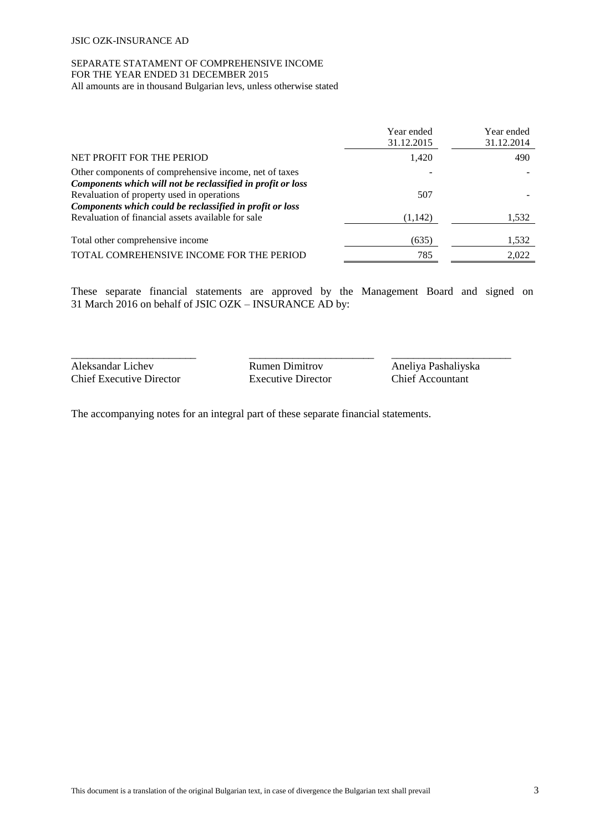# SEPARATE STATAMENT OF COMPREHENSIVE INCOME FOR THE YEAR ENDED 31 DECEMBER 2015

All amounts are in thousand Bulgarian levs, unless otherwise stated

|                                                                                                           | Year ended<br>31.12.2015 | Year ended<br>31.12.2014 |
|-----------------------------------------------------------------------------------------------------------|--------------------------|--------------------------|
| NET PROFIT FOR THE PERIOD                                                                                 | 1,420                    | 490                      |
| Other components of comprehensive income, net of taxes                                                    |                          |                          |
| Components which will not be reclassified in profit or loss<br>Revaluation of property used in operations | 507                      |                          |
| Components which could be reclassified in profit or loss                                                  |                          |                          |
| Revaluation of financial assets available for sale                                                        | (1,142)                  | 1,532                    |
| Total other comprehensive income                                                                          | (635)                    | 1,532                    |
| TOTAL COMREHENSIVE INCOME FOR THE PERIOD                                                                  | 785                      | 2,022                    |

These separate financial statements are approved by the Management Board and signed on 31 March 2016 on behalf of JSIC OZK – INSURANCE AD by:

\_\_\_\_\_\_\_\_\_\_\_\_\_\_\_\_\_\_\_\_\_\_\_ \_\_\_\_\_\_\_\_\_\_\_\_\_\_\_\_\_\_\_\_\_\_\_ \_\_\_\_\_\_\_\_\_\_\_\_\_\_\_\_\_\_\_\_\_\_ Aleksandar Lichev Rumen Dimitrov Aneliya Pashaliyska<br>
Chief Executive Director Executive Director Chief Accountant Chief Executive Director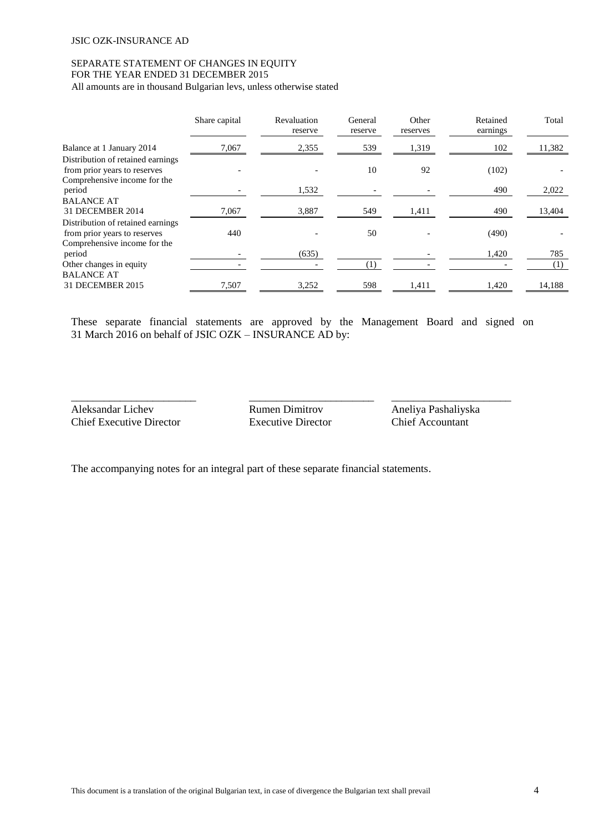# SEPARATE STATEMENT OF CHANGES IN EQUITY FOR THE YEAR ENDED 31 DECEMBER 2015

All amounts are in thousand Bulgarian levs, unless otherwise stated

|                                                                                                   | Share capital | Revaluation<br>reserve | General<br>reserve | Other<br>reserves | Retained<br>earnings | Total  |
|---------------------------------------------------------------------------------------------------|---------------|------------------------|--------------------|-------------------|----------------------|--------|
| Balance at 1 January 2014                                                                         | 7,067         | 2,355                  | 539                | 1,319             | 102                  | 11,382 |
| Distribution of retained earnings<br>from prior years to reserves<br>Comprehensive income for the |               |                        | 10                 | 92                | (102)                |        |
| period                                                                                            |               | 1,532                  |                    |                   | 490                  | 2,022  |
| <b>BALANCE AT</b><br>31 DECEMBER 2014                                                             | 7,067         | 3,887                  | 549                | 1,411             | 490                  | 13,404 |
| Distribution of retained earnings<br>from prior years to reserves                                 | 440           |                        | 50                 |                   | (490)                |        |
| Comprehensive income for the<br>period                                                            |               | (635)                  |                    |                   | 1,420                | 785    |
| Other changes in equity                                                                           |               |                        | (1)                |                   |                      | (1)    |
| <b>BALANCE AT</b><br>31 DECEMBER 2015                                                             | 7,507         | 3,252                  | 598                | 1,411             | 1,420                | 14,188 |

These separate financial statements are approved by the Management Board and signed on 31 March 2016 on behalf of JSIC OZK – INSURANCE AD by:

Aleksandar Lichev Rumen Dimitrov Aneliya Pashaliyska Chief Executive Director Executive Director Chief Accountant

\_\_\_\_\_\_\_\_\_\_\_\_\_\_\_\_\_\_\_\_\_\_\_ \_\_\_\_\_\_\_\_\_\_\_\_\_\_\_\_\_\_\_\_\_\_\_ \_\_\_\_\_\_\_\_\_\_\_\_\_\_\_\_\_\_\_\_\_\_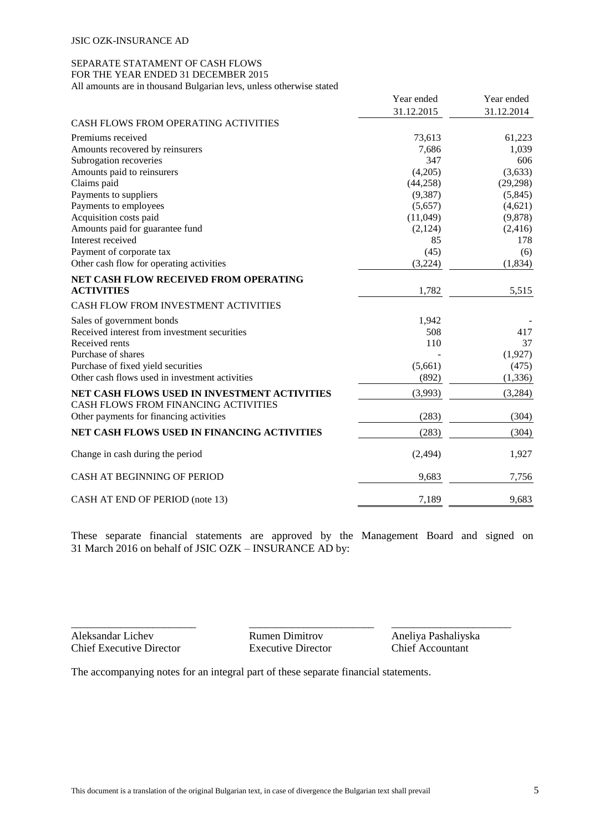#### SEPARATE STATAMENT OF CASH FLOWS FOR THE YEAR ENDED 31 DECEMBER 2015

All amounts are in thousand Bulgarian levs, unless otherwise stated

|                                                | Year ended | Year ended |
|------------------------------------------------|------------|------------|
|                                                | 31.12.2015 | 31.12.2014 |
| CASH FLOWS FROM OPERATING ACTIVITIES           |            |            |
| Premiums received                              | 73,613     | 61,223     |
| Amounts recovered by reinsurers                | 7,686      | 1,039      |
| Subrogation recoveries                         | 347        | 606        |
| Amounts paid to reinsurers                     | (4,205)    | (3,633)    |
| Claims paid                                    | (44,258)   | (29, 298)  |
| Payments to suppliers                          | (9,387)    | (5,845)    |
| Payments to employees                          | (5,657)    | (4,621)    |
| Acquisition costs paid                         | (11,049)   | (9,878)    |
| Amounts paid for guarantee fund                | (2,124)    | (2, 416)   |
| Interest received                              | 85         | 178        |
| Payment of corporate tax                       | (45)       | (6)        |
| Other cash flow for operating activities       | (3,224)    | (1, 834)   |
| NET CASH FLOW RECEIVED FROM OPERATING          |            |            |
| <b>ACTIVITIES</b>                              | 1,782      | 5,515      |
| CASH FLOW FROM INVESTMENT ACTIVITIES           |            |            |
| Sales of government bonds                      | 1,942      |            |
| Received interest from investment securities   | 508        | 417        |
| Received rents                                 | 110        | 37         |
| Purchase of shares                             |            | (1,927)    |
| Purchase of fixed yield securities             | (5,661)    | (475)      |
| Other cash flows used in investment activities | (892)      | (1, 336)   |
| NET CASH FLOWS USED IN INVESTMENT ACTIVITIES   | (3,993)    | (3,284)    |
| CASH FLOWS FROM FINANCING ACTIVITIES           |            |            |
| Other payments for financing activities        | (283)      | (304)      |
| NET CASH FLOWS USED IN FINANCING ACTIVITIES    | (283)      | (304)      |
| Change in cash during the period               | (2, 494)   | 1,927      |
| <b>CASH AT BEGINNING OF PERIOD</b>             | 9,683      | 7,756      |
| CASH AT END OF PERIOD (note 13)                | 7,189      | 9,683      |

These separate financial statements are approved by the Management Board and signed on 31 March 2016 on behalf of JSIC OZK – INSURANCE AD by:

Aleksandar Lichev Rumen Dimitrov Aneliya Pashaliyska Chief Executive Director Executive Director Chief Accountant

\_\_\_\_\_\_\_\_\_\_\_\_\_\_\_\_\_\_\_\_\_\_\_ \_\_\_\_\_\_\_\_\_\_\_\_\_\_\_\_\_\_\_\_\_\_\_ \_\_\_\_\_\_\_\_\_\_\_\_\_\_\_\_\_\_\_\_\_\_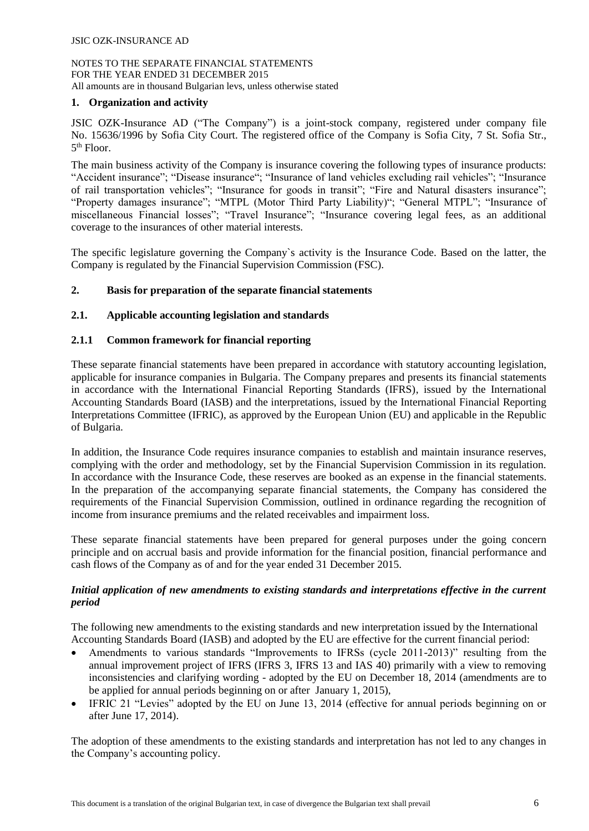# **1. Organization and activity**

JSIC OZK-Insurance AD ("The Company") is a joint-stock company, registered under company file No. 15636/1996 by Sofia City Court. The registered office of the Company is Sofia City, 7 St. Sofia Str., 5 th Floor.

The main business activity of the Company is insurance covering the following types of insurance products: "Accident insurance"; "Disease insurance"; "Insurance of land vehicles excluding rail vehicles"; "Insurance of rail transportation vehicles"; "Insurance for goods in transit"; "Fire and Natural disasters insurance"; "Property damages insurance"; "MTPL (Motor Third Party Liability)"; "General MTPL"; "Insurance of miscellaneous Financial losses"; "Travel Insurance"; "Insurance covering legal fees, as an additional coverage to the insurances of other material interests.

The specific legislature governing the Company`s activity is the Insurance Code. Based on the latter, the Company is regulated by the Financial Supervision Commission (FSC).

# **2. Basis for preparation of the separate financial statements**

# **2.1. Applicable accounting legislation and standards**

# **2.1.1 Common framework for financial reporting**

These separate financial statements have been prepared in accordance with statutory accounting legislation, applicable for insurance companies in Bulgaria. The Company prepares and presents its financial statements in accordance with the International Financial Reporting Standards (IFRS), issued by the International Accounting Standards Board (IASB) and the interpretations, issued by the International Financial Reporting Interpretations Committee (IFRIC), as approved by the European Union (EU) and applicable in the Republic of Bulgaria.

In addition, the Insurance Code requires insurance companies to establish and maintain insurance reserves, complying with the order and methodology, set by the Financial Supervision Commission in its regulation. In accordance with the Insurance Code, these reserves are booked as an expense in the financial statements. In the preparation of the accompanying separate financial statements, the Company has considered the requirements of the Financial Supervision Commission, outlined in ordinance regarding the recognition of income from insurance premiums and the related receivables and impairment loss.

These separate financial statements have been prepared for general purposes under the going concern principle and on accrual basis and provide information for the financial position, financial performance and cash flows of the Company as of and for the year ended 31 December 2015.

# *Initial application of new amendments to existing standards and interpretations effective in the current period*

The following new amendments to the existing standards and new interpretation issued by the International Accounting Standards Board (IASB) and adopted by the EU are effective for the current financial period:

- Amendments to various standards "Improvements to IFRSs (cycle 2011-2013)" resulting from the annual improvement project of IFRS (IFRS 3, IFRS 13 and IAS 40) primarily with a view to removing inconsistencies and clarifying wording - adopted by the EU on December 18, 2014 (amendments are to be applied for annual periods beginning on or after January 1, 2015),
- IFRIC 21 "Levies" adopted by the EU on June 13, 2014 (effective for annual periods beginning on or after June 17, 2014).

The adoption of these amendments to the existing standards and interpretation has not led to any changes in the Company's accounting policy.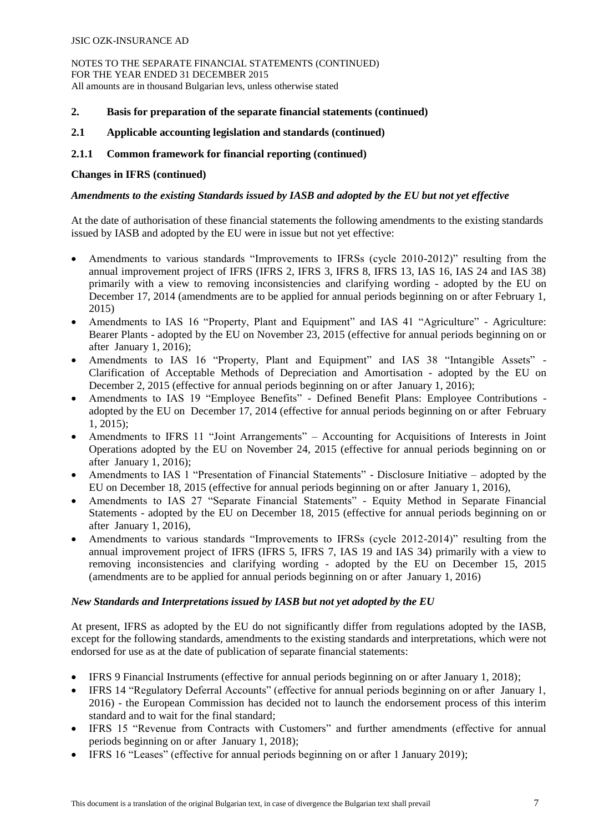NOTES TO THE SEPARATE FINANCIAL STATEMENTS (CONTINUED) FOR THE YEAR ENDED 31 DECEMBER 2015 All amounts are in thousand Bulgarian levs, unless otherwise stated

# **2. Basis for preparation of the separate financial statements (continued)**

### **2.1 Applicable accounting legislation and standards (continued)**

### **2.1.1 Common framework for financial reporting (continued)**

#### **Changes in IFRS (continued)**

### *Amendments to the existing Standards issued by IASB and adopted by the EU but not yet effective*

At the date of authorisation of these financial statements the following amendments to the existing standards issued by IASB and adopted by the EU were in issue but not yet effective:

- Amendments to various standards "Improvements to IFRSs (cycle 2010-2012)" resulting from the annual improvement project of IFRS (IFRS 2, IFRS 3, IFRS 8, IFRS 13, IAS 16, IAS 24 and IAS 38) primarily with a view to removing inconsistencies and clarifying wording - adopted by the EU on December 17, 2014 (amendments are to be applied for annual periods beginning on or after February 1, 2015)
- Amendments to IAS 16 "Property, Plant and Equipment" and IAS 41 "Agriculture" Agriculture: Bearer Plants - adopted by the EU on November 23, 2015 (effective for annual periods beginning on or after January 1, 2016);
- Amendments to IAS 16 "Property, Plant and Equipment" and IAS 38 "Intangible Assets" Clarification of Acceptable Methods of Depreciation and Amortisation - adopted by the EU on December 2, 2015 (effective for annual periods beginning on or after January 1, 2016);
- Amendments to IAS 19 "Employee Benefits" Defined Benefit Plans: Employee Contributions adopted by the EU on December 17, 2014 (effective for annual periods beginning on or after February 1, 2015);
- Amendments to IFRS 11 "Joint Arrangements" Accounting for Acquisitions of Interests in Joint Operations adopted by the EU on November 24, 2015 (effective for annual periods beginning on or after January 1, 2016);
- Amendments to IAS 1 "Presentation of Financial Statements" Disclosure Initiative adopted by the EU on December 18, 2015 (effective for annual periods beginning on or after January 1, 2016),
- Amendments to IAS 27 "Separate Financial Statements" Equity Method in Separate Financial Statements - adopted by the EU on December 18, 2015 (effective for annual periods beginning on or after January 1, 2016),
- Amendments to various standards "Improvements to IFRSs (cycle 2012-2014)" resulting from the annual improvement project of IFRS (IFRS 5, IFRS 7, IAS 19 and IAS 34) primarily with a view to removing inconsistencies and clarifying wording - adopted by the EU on December 15, 2015 (amendments are to be applied for annual periods beginning on or after January 1, 2016)

#### *New Standards and Interpretations issued by IASB but not yet adopted by the EU*

At present, IFRS as adopted by the EU do not significantly differ from regulations adopted by the IASB, except for the following standards, amendments to the existing standards and interpretations, which were not endorsed for use as at the date of publication of separate financial statements:

- IFRS 9 Financial Instruments (effective for annual periods beginning on or after January 1, 2018);
- IFRS 14 "Regulatory Deferral Accounts" (effective for annual periods beginning on or after January 1, 2016) - the European Commission has decided not to launch the endorsement process of this interim standard and to wait for the final standard;
- IFRS 15 "Revenue from Contracts with Customers" and further amendments (effective for annual periods beginning on or after January 1, 2018);
- IFRS 16 "Leases" (effective for annual periods beginning on or after 1 January 2019);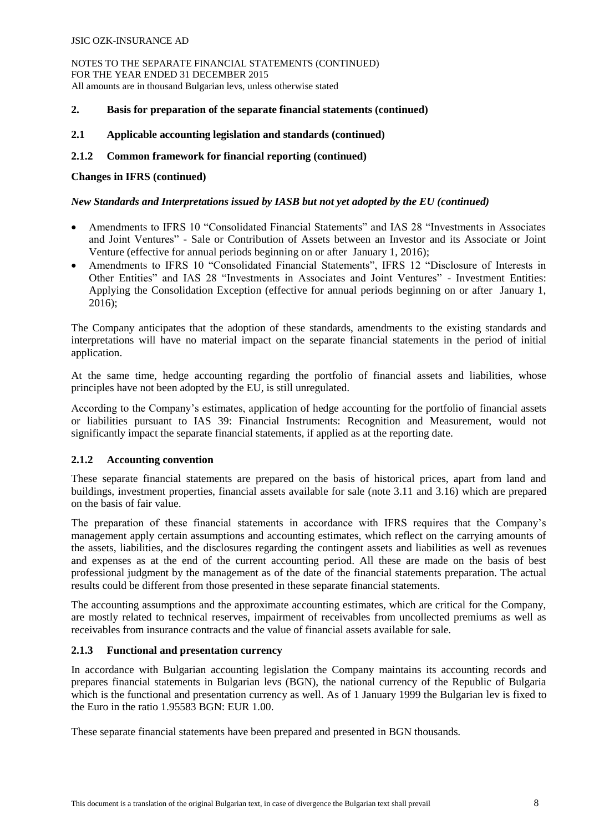NOTES TO THE SEPARATE FINANCIAL STATEMENTS (CONTINUED) FOR THE YEAR ENDED 31 DECEMBER 2015 All amounts are in thousand Bulgarian levs, unless otherwise stated

# **2. Basis for preparation of the separate financial statements (continued)**

# **2.1 Applicable accounting legislation and standards (continued)**

# **2.1.2 Common framework for financial reporting (continued)**

# **Changes in IFRS (continued)**

# *New Standards and Interpretations issued by IASB but not yet adopted by the EU (continued)*

- Amendments to IFRS 10 "Consolidated Financial Statements" and IAS 28 "Investments in Associates and Joint Ventures" - Sale or Contribution of Assets between an Investor and its Associate or Joint Venture (effective for annual periods beginning on or after January 1, 2016);
- Amendments to IFRS 10 "Consolidated Financial Statements", IFRS 12 "Disclosure of Interests in Other Entities" and IAS 28 "Investments in Associates and Joint Ventures" - Investment Entities: Applying the Consolidation Exception (effective for annual periods beginning on or after January 1, 2016);

The Company anticipates that the adoption of these standards, amendments to the existing standards and interpretations will have no material impact on the separate financial statements in the period of initial application.

At the same time, hedge accounting regarding the portfolio of financial assets and liabilities, whose principles have not been adopted by the EU, is still unregulated.

According to the Company's estimates, application of hedge accounting for the portfolio of financial assets or liabilities pursuant to IAS 39: Financial Instruments: Recognition and Measurement, would not significantly impact the separate financial statements, if applied as at the reporting date.

# **2.1.2 Accounting convention**

These separate financial statements are prepared on the basis of historical prices, apart from land and buildings, investment properties, financial assets available for sale (note 3.11 and 3.16) which are prepared on the basis of fair value.

The preparation of these financial statements in accordance with IFRS requires that the Company's management apply certain assumptions and accounting estimates, which reflect on the carrying amounts of the assets, liabilities, and the disclosures regarding the contingent assets and liabilities as well as revenues and expenses as at the end of the current accounting period. All these are made on the basis of best professional judgment by the management as of the date of the financial statements preparation. The actual results could be different from those presented in these separate financial statements.

The accounting assumptions and the approximate accounting estimates, which are critical for the Company, are mostly related to technical reserves, impairment of receivables from uncollected premiums as well as receivables from insurance contracts and the value of financial assets available for sale.

# **2.1.3 Functional and presentation currency**

In accordance with Bulgarian accounting legislation the Company maintains its accounting records and prepares financial statements in Bulgarian levs (BGN), the national currency of the Republic of Bulgaria which is the functional and presentation currency as well. As of 1 January 1999 the Bulgarian lev is fixed to the Euro in the ratio 1.95583 BGN: EUR 1.00.

These separate financial statements have been prepared and presented in BGN thousands.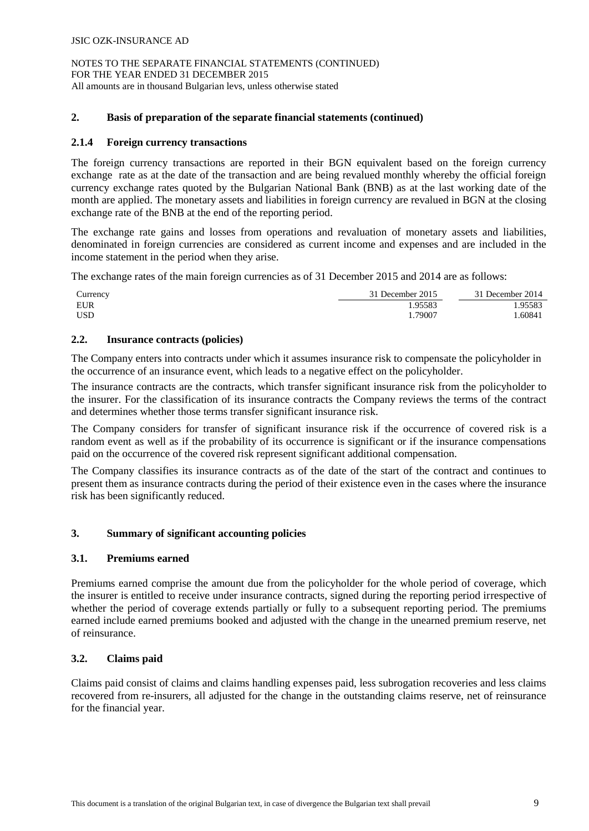# **2. Basis of preparation of the separate financial statements (continued)**

# **2.1.4 Foreign currency transactions**

The foreign currency transactions are reported in their BGN equivalent based on the foreign currency exchange rate as at the date of the transaction and are being revalued monthly whereby the official foreign currency exchange rates quoted by the Bulgarian National Bank (BNB) as at the last working date of the month are applied. The monetary assets and liabilities in foreign currency are revalued in BGN at the closing exchange rate of the BNB at the end of the reporting period.

The exchange rate gains and losses from operations and revaluation of monetary assets and liabilities, denominated in foreign currencies are considered as current income and expenses and are included in the income statement in the period when they arise.

The exchange rates of the main foreign currencies as of 31 December 2015 and 2014 are as follows:

| Currency | 31 December 2015 | 31 December 2014 |
|----------|------------------|------------------|
| EUR      | .95583           | .95583           |
| USD      | .79007           | .60841           |

# **2.2. Insurance contracts (policies)**

The Company enters into contracts under which it assumes insurance risk to compensate the policyholder in the occurrence of an insurance event, which leads to a negative effect on the policyholder.

The insurance contracts are the contracts, which transfer significant insurance risk from the policyholder to the insurer. For the classification of its insurance contracts the Company reviews the terms of the contract and determines whether those terms transfer significant insurance risk.

The Company considers for transfer of significant insurance risk if the occurrence of covered risk is a random event as well as if the probability of its occurrence is significant or if the insurance compensations paid on the occurrence of the covered risk represent significant additional compensation.

The Company classifies its insurance contracts as of the date of the start of the contract and continues to present them as insurance contracts during the period of their existence even in the cases where the insurance risk has been significantly reduced.

# **3. Summary of significant accounting policies**

# **3.1. Premiums earned**

Premiums earned comprise the amount due from the policyholder for the whole period of coverage, which the insurer is entitled to receive under insurance contracts, signed during the reporting period irrespective of whether the period of coverage extends partially or fully to a subsequent reporting period. The premiums earned include earned premiums booked and adjusted with the change in the unearned premium reserve, net of reinsurance.

# **3.2. Claims paid**

Claims paid consist of claims and claims handling expenses paid, less subrogation recoveries and less claims recovered from re-insurers, all adjusted for the change in the outstanding claims reserve, net of reinsurance for the financial year.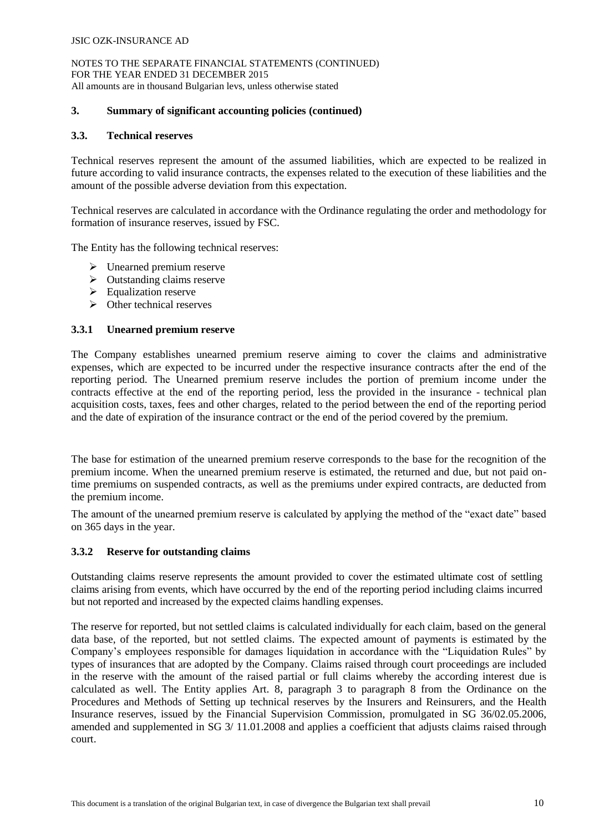NOTES TO THE SEPARATE FINANCIAL STATEMENTS (CONTINUED) FOR THE YEAR ENDED 31 DECEMBER 2015 All amounts are in thousand Bulgarian levs, unless otherwise stated

# **3. Summary of significant accounting policies (continued)**

#### **3.3. Technical reserves**

Technical reserves represent the amount of the assumed liabilities, which are expected to be realized in future according to valid insurance contracts, the expenses related to the execution of these liabilities and the amount of the possible adverse deviation from this expectation.

Technical reserves are calculated in accordance with the Ordinance regulating the order and methodology for formation of insurance reserves, issued by FSC.

The Entity has the following technical reserves:

- $\triangleright$  Unearned premium reserve
- $\triangleright$  Outstanding claims reserve
- $\triangleright$  Equalization reserve
- $\triangleright$  Other technical reserves

### **3.3.1 Unearned premium reserve**

The Company establishes unearned premium reserve aiming to cover the claims and administrative expenses, which are expected to be incurred under the respective insurance contracts after the end of the reporting period. Тhe Unearned premium reserve includes the portion of premium income under the contracts effective at the end of the reporting period, less the provided in the insurance - technical plan acquisition costs, taxes, fees and other charges, related to the period between the end of the reporting period and the date of expiration of the insurance contract or the end of the period covered by the premium.

The base for estimation of the unearned premium reserve corresponds to the base for the recognition of the premium income. When the unearned premium reserve is estimated, the returned and due, but not paid ontime premiums on suspended contracts, as well as the premiums under expired contracts, are deducted from the premium income.

The amount of the unearned premium reserve is calculated by applying the method of the "exact date" based on 365 days in the year.

#### **3.3.2 Reserve for outstanding claims**

Outstanding claims reserve represents the amount provided to cover the estimated ultimate cost of settling claims arising from events, which have occurred by the end of the reporting period including claims incurred but not reported and increased by the expected claims handling expenses.

The reserve for reported, but not settled claims is calculated individually for each claim, based on the general data base, of the reported, but not settled claims. The expected amount of payments is estimated by the Company's employees responsible for damages liquidation in accordance with the "Liquidation Rules" by types of insurances that are adopted by the Company. Claims raised through court proceedings are included in the reserve with the amount of the raised partial or full claims whereby the according interest due is calculated as well. The Entity applies Art. 8, paragraph 3 to paragraph 8 from the Ordinance on the Procedures and Methods of Setting up technical reserves by the Insurers and Reinsurers, and the Health Insurance reserves, issued by the Financial Supervision Commission, promulgated in SG 36/02.05.2006, amended and supplemented in SG 3/ 11.01.2008 and applies a coefficient that adjusts claims raised through court.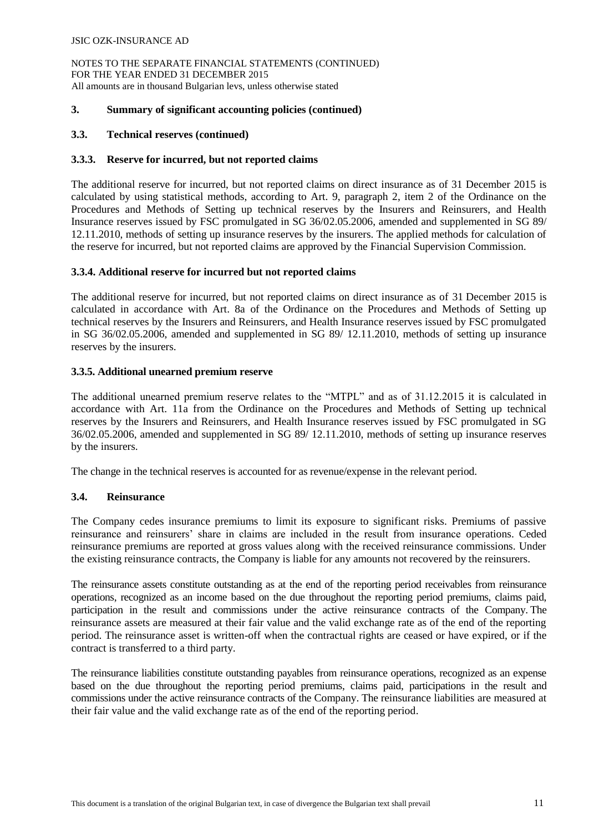NOTES TO THE SEPARATE FINANCIAL STATEMENTS (CONTINUED) FOR THE YEAR ENDED 31 DECEMBER 2015 All amounts are in thousand Bulgarian levs, unless otherwise stated

# **3. Summary of significant accounting policies (continued)**

# **3.3. Technical reserves (continued)**

# **3.3.3. Reserve for incurred, but not reported claims**

The additional reserve for incurred, but not reported claims on direct insurance as of 31 December 2015 is calculated by using statistical methods, according to Art. 9, paragraph 2, item 2 of the Ordinance on the Procedures and Methods of Setting up technical reserves by the Insurers and Reinsurers, and Health Insurance reserves issued by FSC promulgated in SG 36/02.05.2006, amended and supplemented in SG 89/ 12.11.2010, methods of setting up insurance reserves by the insurers. The applied methods for calculation of the reserve for incurred, but not reported claims are approved by the Financial Supervision Commission.

# **3.3.4. Additional reserve for incurred but not reported claims**

The additional reserve for incurred, but not reported claims on direct insurance as of 31 December 2015 is calculated in accordance with Art. 8a of the Ordinance on the Procedures and Methods of Setting up technical reserves by the Insurers and Reinsurers, and Health Insurance reserves issued by FSC promulgated in SG 36/02.05.2006, amended and supplemented in SG 89/ 12.11.2010, methods of setting up insurance reserves by the insurers.

# **3.3.5. Additional unearned premium reserve**

The additional unearned premium reserve relates to the "MTPL" and as of 31.12.2015 it is calculated in accordance with Art. 11a from the Ordinance on the Procedures and Methods of Setting up technical reserves by the Insurers and Reinsurers, and Health Insurance reserves issued by FSC promulgated in SG 36/02.05.2006, amended and supplemented in SG 89/ 12.11.2010, methods of setting up insurance reserves by the insurers.

The change in the technical reserves is accounted for as revenue/expense in the relevant period.

# **3.4. Reinsurance**

The Company cedes insurance premiums to limit its exposure to significant risks. Premiums of passive reinsurance and reinsurers' share in claims are included in the result from insurance operations. Ceded reinsurance premiums are reported at gross values along with the received reinsurance commissions. Under the existing reinsurance contracts, the Company is liable for any amounts not recovered by the reinsurers.

The reinsurance assets constitute outstanding as at the end of the reporting period receivables from reinsurance operations, recognized as an income based on the due throughout the reporting period premiums, claims paid, participation in the result and commissions under the active reinsurance contracts of the Company. The reinsurance assets are measured at their fair value and the valid exchange rate as of the end of the reporting period. The reinsurance asset is written-off when the contractual rights are ceased or have expired, or if the contract is transferred to a third party.

The reinsurance liabilities constitute outstanding payables from reinsurance operations, recognized as an expense based on the due throughout the reporting period premiums, claims paid, participations in the result and commissions under the active reinsurance contracts of the Company. The reinsurance liabilities are measured at their fair value and the valid exchange rate as of the end of the reporting period.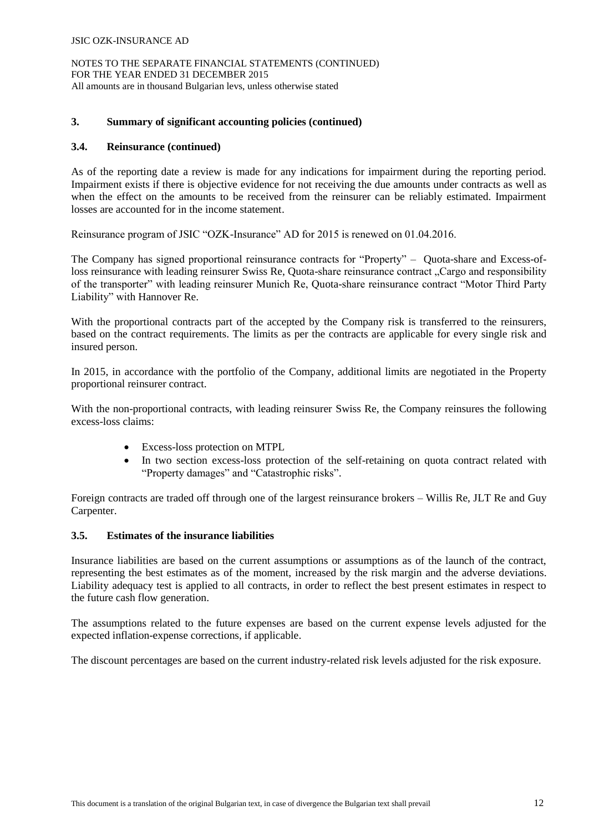NOTES TO THE SEPARATE FINANCIAL STATEMENTS (CONTINUED) FOR THE YEAR ENDED 31 DECEMBER 2015 All amounts are in thousand Bulgarian levs, unless otherwise stated

# **3. Summary of significant accounting policies (continued)**

# **3.4. Reinsurance (continued)**

As of the reporting date a review is made for any indications for impairment during the reporting period. Impairment exists if there is objective evidence for not receiving the due amounts under contracts as well as when the effect on the amounts to be received from the reinsurer can be reliably estimated. Impairment losses are accounted for in the income statement.

Reinsurance program of JSIC "OZK-Insurance" AD for 2015 is renewed on 01.04.2016.

The Company has signed proportional reinsurance contracts for "Property" – Quota-share and Excess-ofloss reinsurance with leading reinsurer Swiss Re, Quota-share reinsurance contract "Cargo and responsibility" of the transporter" with leading reinsurer Munich Re, Quota-share reinsurance contract "Motor Third Party Liability" with Hannover Re.

With the proportional contracts part of the accepted by the Company risk is transferred to the reinsurers, based on the contract requirements. The limits as per the contracts are applicable for every single risk and insured person.

In 2015, in accordance with the portfolio of the Company, additional limits are negotiated in the Property proportional reinsurer contract.

With the non-proportional contracts, with leading reinsurer Swiss Re, the Company reinsures the following excess-loss claims:

- Excess-loss protection on MTPL
- In two section excess-loss protection of the self-retaining on quota contract related with "Property damages" and "Catastrophic risks".

Foreign contracts are traded off through one of the largest reinsurance brokers – Willis Re, JLT Re and Guy Carpenter.

# **3.5. Estimates of the insurance liabilities**

Insurance liabilities are based on the current assumptions or assumptions as of the launch of the contract, representing the best estimates as of the moment, increased by the risk margin and the adverse deviations. Liability adequacy test is applied to all contracts, in order to reflect the best present estimates in respect to the future cash flow generation.

The assumptions related to the future expenses are based on the current expense levels adjusted for the expected inflation-expense corrections, if applicable.

The discount percentages are based on the current industry-related risk levels adjusted for the risk exposure.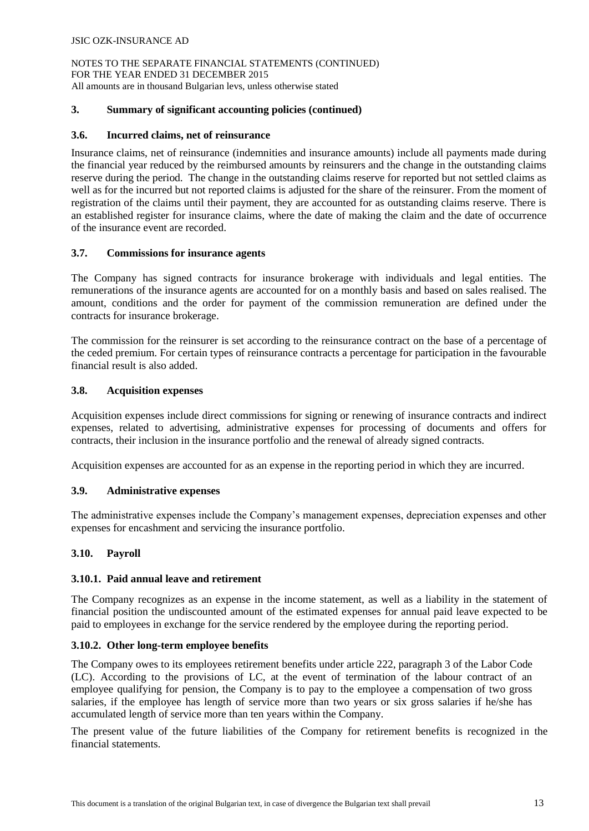# **3. Summary of significant accounting policies (continued)**

# **3.6. Incurred claims, net of reinsurance**

Insurance claims, net of reinsurance (indemnities and insurance amounts) include all payments made during the financial year reduced by the reimbursed amounts by reinsurers and the change in the outstanding claims reserve during the period. The change in the outstanding claims reserve for reported but not settled claims as well as for the incurred but not reported claims is adjusted for the share of the reinsurer. From the moment of registration of the claims until their payment, they are accounted for as outstanding claims reserve. There is an established register for insurance claims, where the date of making the claim and the date of occurrence of the insurance event are recorded.

# **3.7. Commissions for insurance agents**

The Company has signed contracts for insurance brokerage with individuals and legal entities. The remunerations of the insurance agents are accounted for on a monthly basis and based on sales realised. The amount, conditions and the order for payment of the commission remuneration are defined under the contracts for insurance brokerage.

The commission for the reinsurer is set according to the reinsurance contract on the base of a percentage of the ceded premium. For certain types of reinsurance contracts a percentage for participation in the favourable financial result is also added.

# **3.8. Acquisition expenses**

Acquisition expenses include direct commissions for signing or renewing of insurance contracts and indirect expenses, related to advertising, administrative expenses for processing of documents and offers for contracts, their inclusion in the insurance portfolio and the renewal of already signed contracts.

Acquisition expenses are accounted for as an expense in the reporting period in which they are incurred.

# **3.9. Administrative expenses**

The administrative expenses include the Company's management expenses, depreciation expenses and other expenses for encashment and servicing the insurance portfolio.

# **3.10. Payroll**

# **3.10.1. Paid annual leave and retirement**

The Company recognizes as an expense in the income statement, as well as a liability in the statement of financial position the undiscounted amount of the estimated expenses for annual paid leave expected to be paid to employees in exchange for the service rendered by the employee during the reporting period.

# **3.10.2. Other long-term employee benefits**

The Company owes to its employees retirement benefits under article 222, paragraph 3 of the Labor Code (LC). According to the provisions of LC, at the event of termination of the labour contract of an employee qualifying for pension, the Company is to pay to the employee a compensation of two gross salaries, if the employee has length of service more than two years or six gross salaries if he/she has accumulated length of service more than ten years within the Company.

The present value of the future liabilities of the Company for retirement benefits is recognized in the financial statements.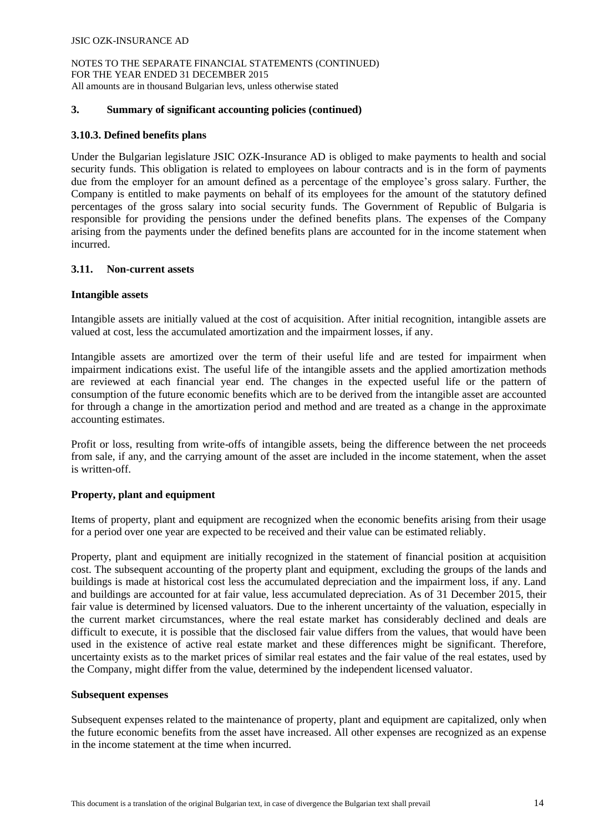### **3. Summary of significant accounting policies (continued)**

### **3.10.3. Defined benefits plans**

Under the Bulgarian legislature JSIC OZK-Insurance AD is obliged to make payments to health and social security funds. This obligation is related to employees on labour contracts and is in the form of payments due from the employer for an amount defined as a percentage of the employee's gross salary. Further, the Company is entitled to make payments on behalf of its employees for the amount of the statutory defined percentages of the gross salary into social security funds. The Government of Republic of Bulgaria is responsible for providing the pensions under the defined benefits plans. The expenses of the Company arising from the payments under the defined benefits plans are accounted for in the income statement when incurred.

#### **3.11. Non-current assets**

#### **Intangible assets**

Intangible assets are initially valued at the cost of acquisition. After initial recognition, intangible assets are valued at cost, less the accumulated amortization and the impairment losses, if any.

Intangible assets are amortized over the term of their useful life and are tested for impairment when impairment indications exist. The useful life of the intangible assets and the applied amortization methods are reviewed at each financial year end. The changes in the expected useful life or the pattern of consumption of the future economic benefits which are to be derived from the intangible asset are accounted for through a change in the amortization period and method and are treated as a change in the approximate accounting estimates.

Profit or loss, resulting from write-offs of intangible assets, being the difference between the net proceeds from sale, if any, and the carrying amount of the asset are included in the income statement, when the asset is written-off.

# **Property, plant and equipment**

Items of property, plant and equipment are recognized when the economic benefits arising from their usage for a period over one year are expected to be received and their value can be estimated reliably.

Property, plant and equipment are initially recognized in the statement of financial position at acquisition cost. The subsequent accounting of the property plant and equipment, excluding the groups of the lands and buildings is made at historical cost less the accumulated depreciation and the impairment loss, if any. Land and buildings are accounted for at fair value, less accumulated depreciation. As of 31 December 2015, their fair value is determined by licensed valuators. Due to the inherent uncertainty of the valuation, especially in the current market circumstances, where the real estate market has considerably declined and deals are difficult to execute, it is possible that the disclosed fair value differs from the values, that would have been used in the existence of active real estate market and these differences might be significant. Therefore, uncertainty exists as to the market prices of similar real estates and the fair value of the real estates, used by the Company, might differ from the value, determined by the independent licensed valuator.

#### **Subsequent expenses**

Subsequent expenses related to the maintenance of property, plant and equipment are capitalized, only when the future economic benefits from the asset have increased. All other expenses are recognized as an expense in the income statement at the time when incurred.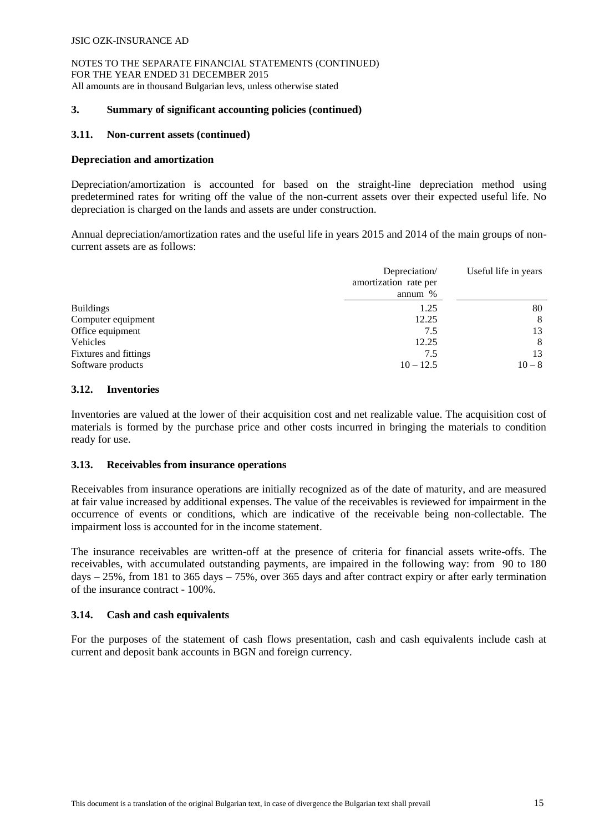# **3. Summary of significant accounting policies (continued)**

# **3.11. Non-current assets (continued)**

# **Depreciation and amortization**

Depreciation/amortization is accounted for based on the straight-line depreciation method using predetermined rates for writing off the value of the non-current assets over their expected useful life. No depreciation is charged on the lands and assets are under construction.

Annual depreciation/amortization rates and the useful life in years 2015 and 2014 of the main groups of noncurrent assets are as follows:

|                       | Depreciation/<br>amortization rate per<br>annum $%$ | Useful life in years |
|-----------------------|-----------------------------------------------------|----------------------|
| <b>Buildings</b>      | 1.25                                                | 80                   |
| Computer equipment    | 12.25                                               | 8                    |
| Office equipment      | 7.5                                                 | 13                   |
| Vehicles              | 12.25                                               | 8                    |
| Fixtures and fittings | 7.5                                                 | 13                   |
| Software products     | $10 - 12.5$                                         | $10 - 8$             |

# **3.12. Inventories**

Inventories are valued at the lower of their acquisition cost and net realizable value. The acquisition cost of materials is formed by the purchase price and other costs incurred in bringing the materials to condition ready for use.

# **3.13. Receivables from insurance operations**

Receivables from insurance operations are initially recognized as of the date of maturity, and are measured at fair value increased by additional expenses. The value of the receivables is reviewed for impairment in the occurrence of events or conditions, which are indicative of the receivable being non-collectable. The impairment loss is accounted for in the income statement.

The insurance receivables are written-off at the presence of criteria for financial assets write-offs. The receivables, with accumulated outstanding payments, are impaired in the following way: from 90 to 180 days – 25%, from 181 to 365 days – 75%, over 365 days and after contract expiry or after early termination of the insurance contract - 100%.

# **3.14. Cash and cash equivalents**

For the purposes of the statement of cash flows presentation, cash and cash equivalents include cash at current and deposit bank accounts in BGN and foreign currency.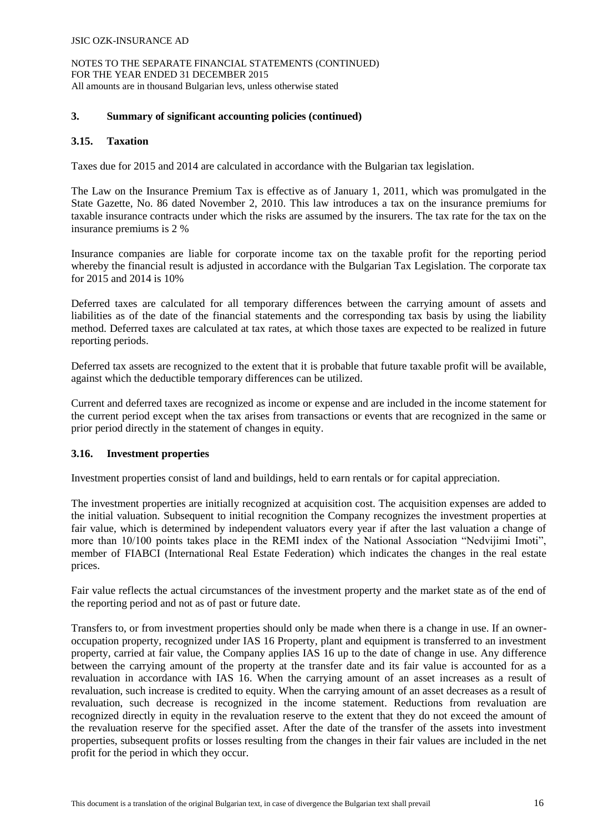NOTES TO THE SEPARATE FINANCIAL STATEMENTS (CONTINUED) FOR THE YEAR ENDED 31 DECEMBER 2015 All amounts are in thousand Bulgarian levs, unless otherwise stated

# **3. Summary of significant accounting policies (continued)**

# **3.15. Taxation**

Taxes due for 2015 and 2014 are calculated in accordance with the Bulgarian tax legislation.

The Law on the Insurance Premium Tax is effective as of January 1, 2011, which was promulgated in the State Gazette, No. 86 dated November 2, 2010. This law introduces a tax on the insurance premiums for taxable insurance contracts under which the risks are assumed by the insurers. The tax rate for the tax on the insurance premiums is 2 %

Insurance companies are liable for corporate income tax on the taxable profit for the reporting period whereby the financial result is adjusted in accordance with the Bulgarian Tax Legislation. The corporate tax for 2015 and 2014 is 10%

Deferred taxes are calculated for all temporary differences between the carrying amount of assets and liabilities as of the date of the financial statements and the corresponding tax basis by using the liability method. Deferred taxes are calculated at tax rates, at which those taxes are expected to be realized in future reporting periods.

Deferred tax assets are recognized to the extent that it is probable that future taxable profit will be available, against which the deductible temporary differences can be utilized.

Current and deferred taxes are recognized as income or expense and are included in the income statement for the current period except when the tax arises from transactions or events that are recognized in the same or prior period directly in the statement of changes in equity.

# **3.16. Investment properties**

Investment properties consist of land and buildings, held to earn rentals or for capital appreciation.

The investment properties are initially recognized at acquisition cost. The acquisition expenses are added to the initial valuation. Subsequent to initial recognition the Company recognizes the investment properties at fair value, which is determined by independent valuators every year if after the last valuation a change of more than 10/100 points takes place in the REMI index of the National Association "Nedvijimi Imoti", member of FIABCI (International Real Estate Federation) which indicates the changes in the real estate prices.

Fair value reflects the actual circumstances of the investment property and the market state as of the end of the reporting period and not as of past or future date.

Transfers to, or from investment properties should only be made when there is a change in use. If an owneroccupation property, recognized under IAS 16 Property, plant and equipment is transferred to an investment property, carried at fair value, the Company applies IAS 16 up to the date of change in use. Any difference between the carrying amount of the property at the transfer date and its fair value is accounted for as a revaluation in accordance with IAS 16. When the carrying amount of an asset increases as a result of revaluation, such increase is credited to equity. When the carrying amount of an asset decreases as a result of revaluation, such decrease is recognized in the income statement. Reductions from revaluation are recognized directly in equity in the revaluation reserve to the extent that they do not exceed the amount of the revaluation reserve for the specified asset. After the date of the transfer of the assets into investment properties, subsequent profits or losses resulting from the changes in their fair values are included in the net profit for the period in which they occur.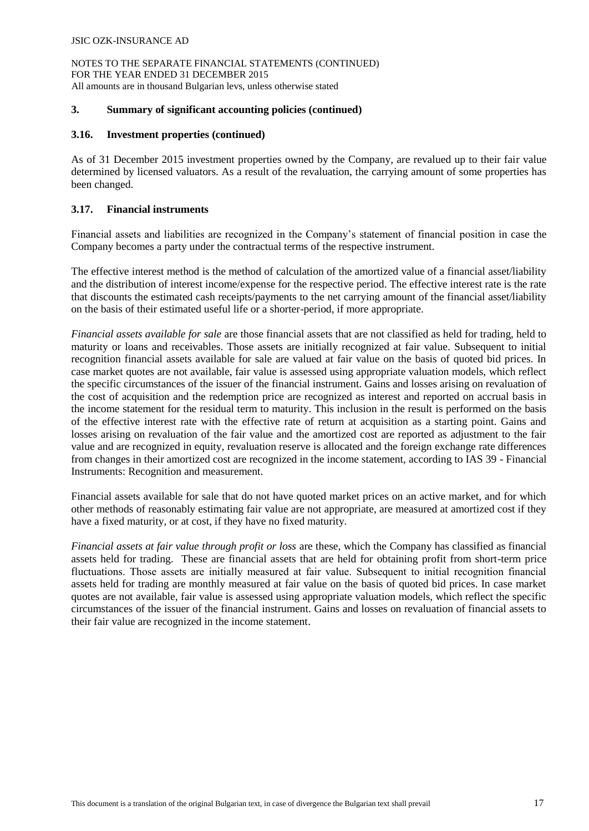### **3. Summary of significant accounting policies (continued)**

#### **3.16. Investment properties (continued)**

As of 31 December 2015 investment properties owned by the Company, are revalued up to their fair value determined by licensed valuators. As a result of the revaluation, the carrying amount of some properties has been changed.

## **3.17. Financial instruments**

Financial assets and liabilities are recognized in the Company's statement of financial position in case the Company becomes a party under the contractual terms of the respective instrument.

The effective interest method is the method of calculation of the amortized value of a financial asset/liability and the distribution of interest income/expense for the respective period. The effective interest rate is the rate that discounts the estimated cash receipts/payments to the net carrying amount of the financial asset/liability on the basis of their estimated useful life or a shorter-period, if more appropriate.

*Financial assets available for sale* are those financial assets that are not classified as held for trading, held to maturity or loans and receivables. Those assets are initially recognized at fair value. Subsequent to initial recognition financial assets available for sale are valued at fair value on the basis of quoted bid prices. In case market quotes are not available, fair value is assessed using appropriate valuation models, which reflect the specific circumstances of the issuer of the financial instrument. Gains and losses arising on revaluation of the cost of acquisition and the redemption price are recognized as interest and reported on accrual basis in the income statement for the residual term to maturity. This inclusion in the result is performed on the basis of the effective interest rate with the effective rate of return at acquisition as a starting point. Gains and losses arising on revaluation of the fair value and the amortized cost are reported as adjustment to the fair value and are recognized in equity, revaluation reserve is allocated and the foreign exchange rate differences from changes in their amortized cost are recognized in the income statement, according to IAS 39 - Financial Instruments: Recognition and measurement.

Financial assets available for sale that do not have quoted market prices on an active market, and for which other methods of reasonably estimating fair value are not appropriate, are measured at amortized cost if they have a fixed maturity, or at cost, if they have no fixed maturity.

*Financial assets at fair value through profit or loss* are these, which the Company has classified as financial assets held for trading. These are financial assets that are held for obtaining profit from short-term price fluctuations. Тhose assets are initially measured at fair value. Subsequent to initial recognition financial assets held for trading are monthly measured at fair value on the basis of quoted bid prices. In case market quotes are not available, fair value is assessed using appropriate valuation models, which reflect the specific circumstances of the issuer of the financial instrument. Gains and losses on revaluation of financial assets to their fair value are recognized in the income statement.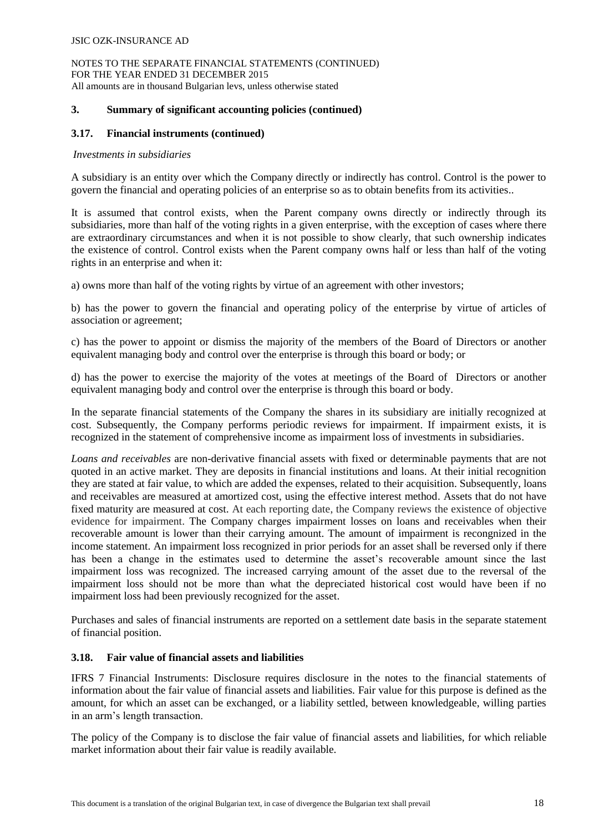# **3. Summary of significant accounting policies (continued)**

# **3.17. Financial instruments (continued)**

### *Investments in subsidiaries*

A subsidiary is an entity over which the Company directly or indirectly has control. Control is the power to govern the financial and operating policies of an enterprise so as to obtain benefits from its activities..

It is assumed that control exists, when the Parent company owns directly or indirectly through its subsidiaries, more than half of the voting rights in a given enterprise, with the exception of cases where there are extraordinary circumstances and when it is not possible to show clearly, that such ownership indicates the existence of control. Control exists when the Parent company owns half or less than half of the voting rights in an enterprise and when it:

a) owns more than half of the voting rights by virtue of an agreement with other investors;

b) has the power to govern the financial and operating policy of the enterprise by virtue of articles of association or agreement;

c) has the power to appoint or dismiss the majority of the members of the Board of Directors or another equivalent managing body and control over the enterprise is through this board or body; or

d) has the power to exercise the majority of the votes at meetings of the Board of Directors or another equivalent managing body and control over the enterprise is through this board or body.

In the separate financial statements of the Company the shares in its subsidiary are initially recognized at cost. Subsequently, the Company performs periodic reviews for impairment. If impairment exists, it is recognized in the statement of comprehensive income as impairment loss of investments in subsidiaries.

*Loans and receivables* are non-derivative financial assets with fixed or determinable payments that are not quoted in an active market. They are deposits in financial institutions and loans. At their initial recognition they are stated at fair value, to which are added the expenses, related to their acquisition. Subsequently, loans and receivables are measured at amortized cost, using the effective interest method. Assets that do not have fixed maturity are measured at cost. At each reporting date, the Company reviews the existence of objective evidence for impairment. The Company charges impairment losses on loans and receivables when their recoverable amount is lower than their carrying amount. The amount of impairment is recongnized in the income statement. An impairment loss recognized in prior periods for an asset shall be reversed only if there has been a change in the estimates used to determine the asset's recoverable amount since the last impairment loss was recognized. The increased carrying amount of the asset due to the reversal of the impairment loss should not be more than what the depreciated historical cost would have been if no impairment loss had been previously recognized for the asset.

Purchases and sales of financial instruments are reported on a settlement date basis in the separate statement of financial position.

# **3.18. Fair value of financial assets and liabilities**

IFRS 7 Financial Instruments: Disclosure requires disclosure in the notes to the financial statements of information about the fair value of financial assets and liabilities. Fair value for this purpose is defined as the amount, for which an asset can be exchanged, or a liability settled, between knowledgeable, willing parties in an arm's length transaction.

The policy of the Company is to disclose the fair value of financial assets and liabilities, for which reliable market information about their fair value is readily available.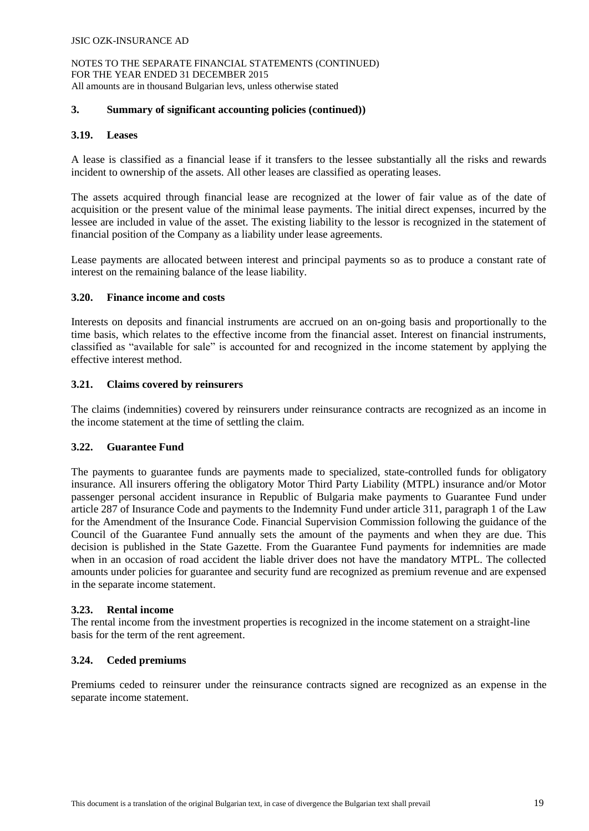# **3. Summary of significant accounting policies (continued))**

# **3.19. Leases**

A lease is classified as a financial lease if it transfers to the lessee substantially all the risks and rewards incident to ownership of the assets. All other leases are classified as operating leases.

The assets acquired through financial lease are recognized at the lower of fair value as of the date of acquisition or the present value of the minimal lease payments. The initial direct expenses, incurred by the lessee are included in value of the asset. The existing liability to the lessor is recognized in the statement of financial position of the Company as a liability under lease agreements.

Lease payments are allocated between interest and principal payments so as to produce a constant rate of interest on the remaining balance of the lease liability.

# **3.20. Finance income and costs**

Interests on deposits and financial instruments are accrued on an on-going basis and proportionally to the time basis, which relates to the effective income from the financial asset. Interest on financial instruments, classified as "available for sale" is accounted for and recognized in the income statement by applying the effective interest method.

# **3.21. Claims covered by reinsurers**

The claims (indemnities) covered by reinsurers under reinsurance contracts are recognized as an income in the income statement at the time of settling the claim.

# **3.22. Guarantee Fund**

The payments to guarantee funds are payments made to specialized, state-controlled funds for obligatory insurance. All insurers offering the obligatory Motor Third Party Liability (MTPL) insurance and/or Motor passenger personal accident insurance in Republic of Bulgaria make payments to Guarantee Fund under article 287 of Insurance Code and payments to the Indemnity Fund under article 311, paragraph 1 of the Law for the Amendment of the Insurance Code. Financial Supervision Commission following the guidance of the Council of the Guarantee Fund annually sets the amount of the payments and when they are due. This decision is published in the State Gazette. From the Guarantee Fund payments for indemnities are made when in an occasion of road accident the liable driver does not have the mandatory MTPL. The collected amounts under policies for guarantee and security fund are recognized as premium revenue and are expensed in the separate income statement.

# **3.23. Rental income**

The rental income from the investment properties is recognized in the income statement on a straight-line basis for the term of the rent agreement.

# **3.24. Ceded premiums**

Premiums ceded to reinsurer under the reinsurance contracts signed are recognized as an expense in the separate income statement.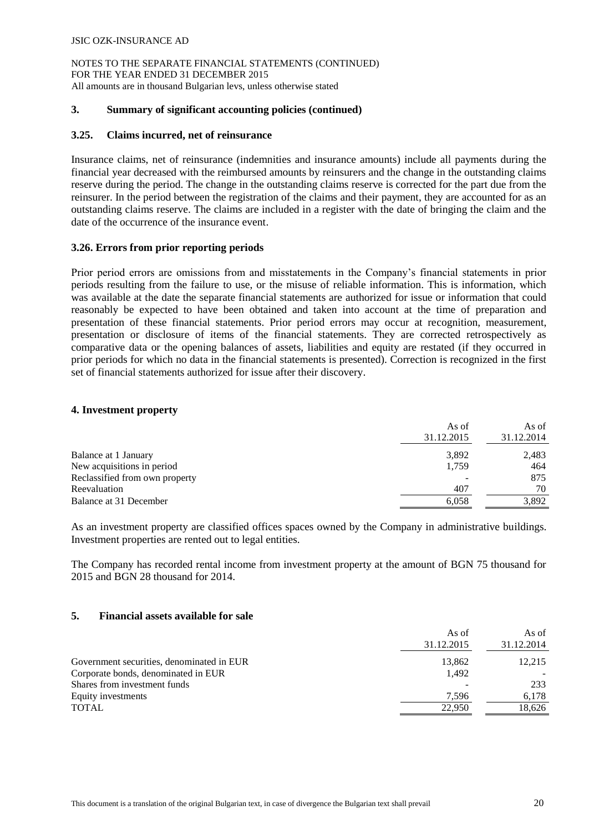### **3. Summary of significant accounting policies (continued)**

### **3.25. Claims incurred, net of reinsurance**

Insurance claims, net of reinsurance (indemnities and insurance amounts) include all payments during the financial year decreased with the reimbursed amounts by reinsurers and the change in the outstanding claims reserve during the period. The change in the outstanding claims reserve is corrected for the part due from the reinsurer. In the period between the registration of the claims and their payment, they are accounted for as an outstanding claims reserve. The claims are included in a register with the date of bringing the claim and the date of the occurrence of the insurance event.

# **3.26. Errors from prior reporting periods**

Prior period errors are omissions from and misstatements in the Company's financial statements in prior periods resulting from the failure to use, or the misuse of reliable information. This is information, which was available at the date the separate financial statements are authorized for issue or information that could reasonably be expected to have been obtained and taken into account at the time of preparation and presentation of these financial statements. Prior period errors may occur at recognition, measurement, presentation or disclosure of items of the financial statements. They are corrected retrospectively as comparative data or the opening balances of assets, liabilities and equity are restated (if they occurred in prior periods for which no data in the financial statements is presented). Correction is recognized in the first set of financial statements authorized for issue after their discovery.

#### **4. Investment property**

|                                | As of<br>31.12.2015 | As of<br>31.12.2014 |
|--------------------------------|---------------------|---------------------|
| Balance at 1 January           | 3,892               | 2,483               |
| New acquisitions in period     | 1,759               | 464                 |
| Reclassified from own property |                     | 875                 |
| Reevaluation                   | 407                 | 70                  |
| Balance at 31 December         | 6,058               | 3.892               |

As an investment property are classified offices spaces owned by the Company in administrative buildings. Investment properties are rented out to legal entities.

The Company has recorded rental income from investment property at the amount of BGN 75 thousand for 2015 and BGN 28 thousand for 2014.

### **5. Financial assets available for sale**

| As of<br>31.12.2015 | As of<br>31.12.2014 |
|---------------------|---------------------|
| 13,862              | 12,215              |
| 1.492               |                     |
|                     | 233                 |
| 7.596               | 6.178               |
| 22,950              | 18,626              |
|                     |                     |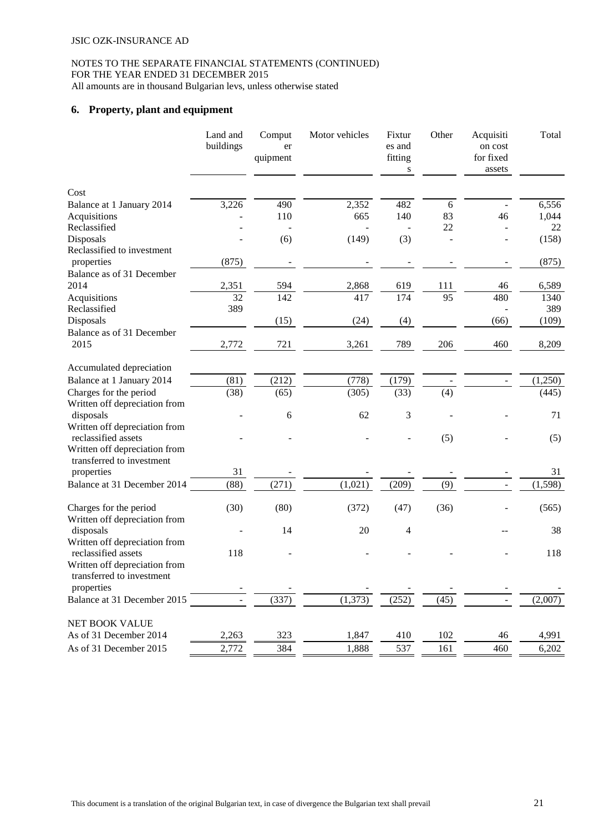# **6. Property, plant and equipment**

|                                                                                                 | Land and<br>buildings | Comput<br>er<br>quipment | Motor vehicles | Fixtur<br>es and<br>fitting<br>S | Other           | Acquisiti<br>on cost<br>for fixed<br>assets | Total    |
|-------------------------------------------------------------------------------------------------|-----------------------|--------------------------|----------------|----------------------------------|-----------------|---------------------------------------------|----------|
| Cost                                                                                            |                       |                          |                |                                  |                 |                                             |          |
| Balance at 1 January 2014                                                                       | 3,226                 | 490                      | 2,352          | 482                              | $6\,$           |                                             | 6,556    |
| Acquisitions                                                                                    |                       | 110                      | 665            | 140                              | 83              | 46                                          | 1,044    |
| Reclassified                                                                                    |                       |                          |                |                                  | 22              |                                             | 22       |
| Disposals                                                                                       |                       | (6)                      | (149)          | (3)                              |                 |                                             | (158)    |
| Reclassified to investment                                                                      |                       |                          |                |                                  |                 |                                             |          |
| properties                                                                                      | (875)                 |                          |                |                                  |                 |                                             | (875)    |
| Balance as of 31 December<br>2014                                                               | 2,351                 | 594                      | 2,868          | 619                              | 111             | 46                                          | 6,589    |
| Acquisitions                                                                                    | 32                    | 142                      | 417            | 174                              | $\overline{95}$ | 480                                         | 1340     |
| Reclassified                                                                                    | 389                   |                          |                |                                  |                 |                                             | 389      |
| Disposals                                                                                       |                       | (15)                     | (24)           | (4)                              |                 | (66)                                        | (109)    |
| Balance as of 31 December                                                                       |                       |                          |                |                                  |                 |                                             |          |
| 2015                                                                                            | 2,772                 | 721                      | 3,261          | 789                              | 206             | 460                                         | 8,209    |
| Accumulated depreciation                                                                        |                       |                          |                |                                  |                 |                                             |          |
| Balance at 1 January 2014                                                                       | (81)                  | (212)                    | (778)          | (179)                            |                 |                                             | (1,250)  |
| Charges for the period                                                                          | (38)                  | (65)                     | (305)          | (33)                             | (4)             |                                             | (445)    |
| Written off depreciation from                                                                   |                       |                          |                |                                  |                 |                                             |          |
| disposals                                                                                       |                       | 6                        | 62             | 3                                |                 |                                             | 71       |
| Written off depreciation from<br>reclassified assets                                            |                       |                          |                |                                  | (5)             |                                             | (5)      |
| Written off depreciation from<br>transferred to investment                                      |                       |                          |                |                                  |                 |                                             |          |
| properties                                                                                      | 31                    |                          |                |                                  |                 |                                             | 31       |
| Balance at 31 December 2014                                                                     | (88)                  | (271)                    | (1,021)        | (209)                            | (9)             |                                             | (1, 598) |
| Charges for the period<br>Written off depreciation from                                         | (30)                  | (80)                     | (372)          | (47)                             | (36)            |                                             | (565)    |
| disposals                                                                                       |                       | 14                       | 20             | $\overline{\mathcal{A}}$         |                 |                                             | 38       |
| Written off depreciation from                                                                   |                       |                          |                |                                  |                 |                                             |          |
| reclassified assets<br>Written off depreciation from<br>transferred to investment<br>properties | 118                   |                          |                |                                  |                 |                                             | 118      |
| Balance at 31 December 2015                                                                     |                       | (337)                    | (1,373)        | (252)                            | (45)            |                                             | (2,007)  |
| NET BOOK VALUE                                                                                  |                       |                          |                |                                  |                 |                                             |          |
| As of 31 December 2014                                                                          | 2,263                 | 323                      | 1,847          | 410                              | 102             | 46                                          | 4,991    |
| As of 31 December 2015                                                                          | 2,772                 | 384                      | 1,888          | 537                              | 161             | 460                                         | 6,202    |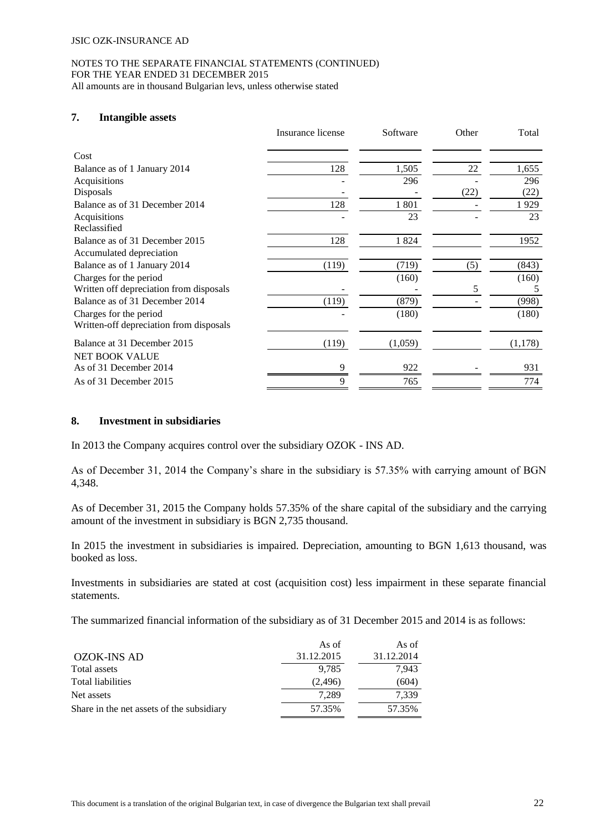#### NOTES TO THE SEPARATE FINANCIAL STATEMENTS (CONTINUED) FOR THE YEAR ENDED 31 DECEMBER 2015 All amounts are in thousand Bulgarian levs, unless otherwise stated

# **7. Intangible assets**

|                                         | Insurance license | Software | Other | Total   |
|-----------------------------------------|-------------------|----------|-------|---------|
| Cost                                    |                   |          |       |         |
| Balance as of 1 January 2014            | 128               | 1,505    | 22    | 1,655   |
| Acquisitions                            |                   | 296      |       | 296     |
| Disposals                               |                   |          | (22)  | (22)    |
| Balance as of 31 December 2014          | 128               | 1801     |       | 1929    |
| Acquisitions                            |                   | 23       |       | 23      |
| Reclassified                            |                   |          |       |         |
| Balance as of 31 December 2015          | 128               | 1824     |       | 1952    |
| Accumulated depreciation                |                   |          |       |         |
| Balance as of 1 January 2014            | (119)             | (719)    | (5)   | (843)   |
| Charges for the period                  |                   | (160)    |       | (160)   |
| Written off depreciation from disposals |                   |          | 5     | 5       |
| Balance as of 31 December 2014          | (119)             | (879)    |       | (998)   |
| Charges for the period                  |                   | (180)    |       | (180)   |
| Written-off depreciation from disposals |                   |          |       |         |
| Balance at 31 December 2015             | (119)             | (1,059)  |       | (1,178) |
| <b>NET BOOK VALUE</b>                   |                   |          |       |         |
| As of 31 December 2014                  | Q                 | 922      |       | 931     |
| As of 31 December 2015                  | 9                 | 765      |       | 774     |

# **8. Investment in subsidiaries**

In 2013 the Company acquires control over the subsidiary OZOK - INS AD.

As of December 31, 2014 the Company's share in the subsidiary is 57.35% with carrying amount of BGN 4,348.

As of December 31, 2015 the Company holds 57.35% of the share capital of the subsidiary and the carrying amount of the investment in subsidiary is BGN 2,735 thousand.

In 2015 the investment in subsidiaries is impaired. Depreciation, amounting to BGN 1,613 thousand, was booked as loss.

Investments in subsidiaries are stated at cost (acquisition cost) less impairment in these separate financial statements.

The summarized financial information of the subsidiary as of 31 December 2015 and 2014 is as follows:

|                                           | As of      | As of      |
|-------------------------------------------|------------|------------|
| <b>OZOK-INS AD</b>                        | 31.12.2015 | 31.12.2014 |
| Total assets                              | 9.785      | 7,943      |
| Total liabilities                         | (2,496)    | (604)      |
| Net assets                                | 7.289      | 7.339      |
| Share in the net assets of the subsidiary | 57.35%     | 57.35%     |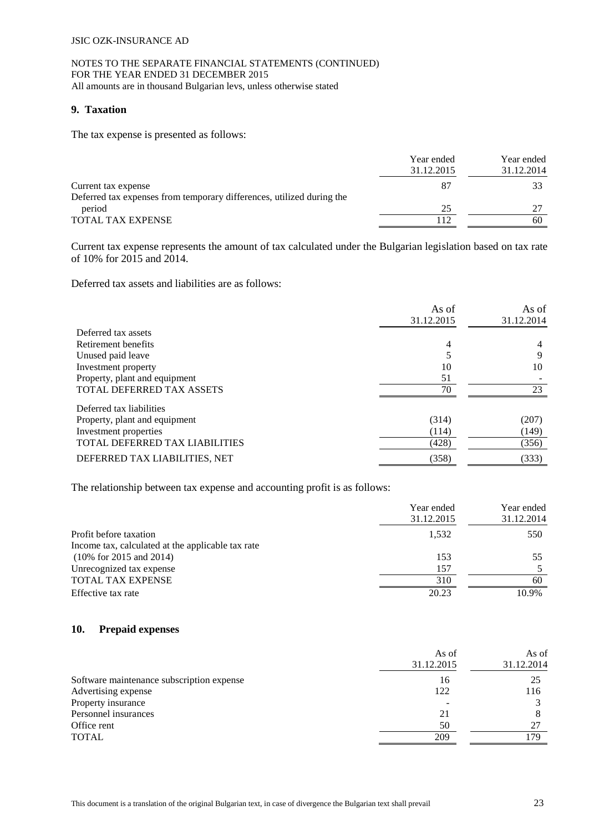# **9. Taxation**

The tax expense is presented as follows:

|                                                                       | Year ended<br>31.12.2015 | Year ended<br>31.12.2014 |
|-----------------------------------------------------------------------|--------------------------|--------------------------|
| Current tax expense                                                   | 87                       |                          |
| Deferred tax expenses from temporary differences, utilized during the |                          |                          |
| period                                                                | 25                       |                          |
| <b>TOTAL TAX EXPENSE</b>                                              | 112                      | 60                       |

Current tax expense represents the amount of tax calculated under the Bulgarian legislation based on tax rate of 10% for 2015 and 2014.

Deferred tax assets and liabilities are as follows:

|                                | As of      | As of      |
|--------------------------------|------------|------------|
|                                | 31.12.2015 | 31.12.2014 |
| Deferred tax assets            |            |            |
| Retirement benefits            | 4          | 4          |
| Unused paid leave              |            | 9          |
| Investment property            | 10         | 10         |
| Property, plant and equipment  | 51         |            |
| TOTAL DEFERRED TAX ASSETS      | 70         | 23         |
| Deferred tax liabilities       |            |            |
| Property, plant and equipment  | (314)      | (207)      |
| Investment properties          | (114)      | (149)      |
| TOTAL DEFERRED TAX LIABILITIES | (428)      | (356)      |
| DEFERRED TAX LIABILITIES, NET  | (358)      | (333)      |

The relationship between tax expense and accounting profit is as follows:

|                                                   | Year ended | Year ended |
|---------------------------------------------------|------------|------------|
|                                                   | 31.12.2015 | 31.12.2014 |
| Profit before taxation                            | 1.532      | 550        |
| Income tax, calculated at the applicable tax rate |            |            |
| $(10\% \text{ for } 2015 \text{ and } 2014)$      | 153        | 55         |
| Unrecognized tax expense                          | 157        |            |
| TOTAL TAX EXPENSE                                 | 310        | 60         |
| Effective tax rate                                | 20.23      | 10.9%      |

# **10. Prepaid expenses**

|                                           | As of<br>31.12.2015 | As of<br>31.12.2014 |
|-------------------------------------------|---------------------|---------------------|
| Software maintenance subscription expense | 16                  | 25                  |
| Advertising expense                       | 122                 | 116                 |
| Property insurance                        |                     |                     |
| Personnel insurances                      | 21                  |                     |
| Office rent                               | 50                  | 27                  |
| <b>TOTAL</b>                              | 209                 | 79                  |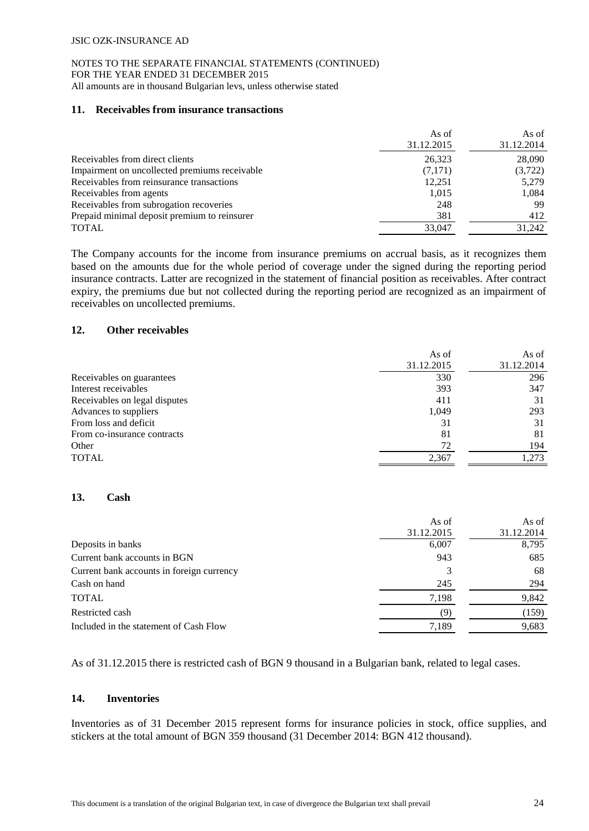#### NOTES TO THE SEPARATE FINANCIAL STATEMENTS (CONTINUED) FOR THE YEAR ENDED 31 DECEMBER 2015 All amounts are in thousand Bulgarian levs, unless otherwise stated

#### **11. Receivables from insurance transactions**

|                                               | As of      | As of      |
|-----------------------------------------------|------------|------------|
|                                               | 31.12.2015 | 31.12.2014 |
| Receivables from direct clients               | 26,323     | 28,090     |
| Impairment on uncollected premiums receivable | (7,171)    | (3,722)    |
| Receivables from reinsurance transactions     | 12,251     | 5,279      |
| Receivables from agents                       | 1,015      | 1,084      |
| Receivables from subrogation recoveries       | 248        | 99         |
| Prepaid minimal deposit premium to reinsurer  | 381        | 412        |
| <b>TOTAL</b>                                  | 33,047     | 31.242     |

The Company accounts for the income from insurance premiums on accrual basis, as it recognizes them based on the amounts due for the whole period of coverage under the signed during the reporting period insurance contracts. Latter are recognized in the statement of financial position as receivables. After contract expiry, the premiums due but not collected during the reporting period are recognized as an impairment of receivables on uncollected premiums.

#### **12. Other receivables**

|                               | As of      | As of      |
|-------------------------------|------------|------------|
|                               | 31.12.2015 | 31.12.2014 |
| Receivables on guarantees     | 330        | 296        |
| Interest receivables          | 393        | 347        |
| Receivables on legal disputes | 411        | 31         |
| Advances to suppliers         | 1,049      | 293        |
| From loss and deficit         | 31         | 31         |
| From co-insurance contracts   | 81         | 81         |
| Other                         | 72         | 194        |
| <b>TOTAL</b>                  | 2,367      | 1.273      |

#### **13. Cash**

| 31.12.2015<br>6,007<br>Deposits in banks<br>Current bank accounts in BGN<br>943 |            |
|---------------------------------------------------------------------------------|------------|
|                                                                                 | 31.12.2014 |
|                                                                                 | 8,795      |
|                                                                                 | 685        |
| Current bank accounts in foreign currency                                       | 68         |
| Cash on hand<br>245                                                             | 294        |
| <b>TOTAL</b><br>7,198                                                           | 9,842      |
| Restricted cash<br>(9)                                                          | (159)      |
| 7,189<br>Included in the statement of Cash Flow                                 | 9,683      |

As of 31.12.2015 there is restricted cash of BGN 9 thousand in a Bulgarian bank, related to legal cases.

# **14. Inventories**

Inventories as of 31 December 2015 represent forms for insurance policies in stock, office supplies, and stickers at the total amount of BGN 359 thousand (31 December 2014: BGN 412 thousand).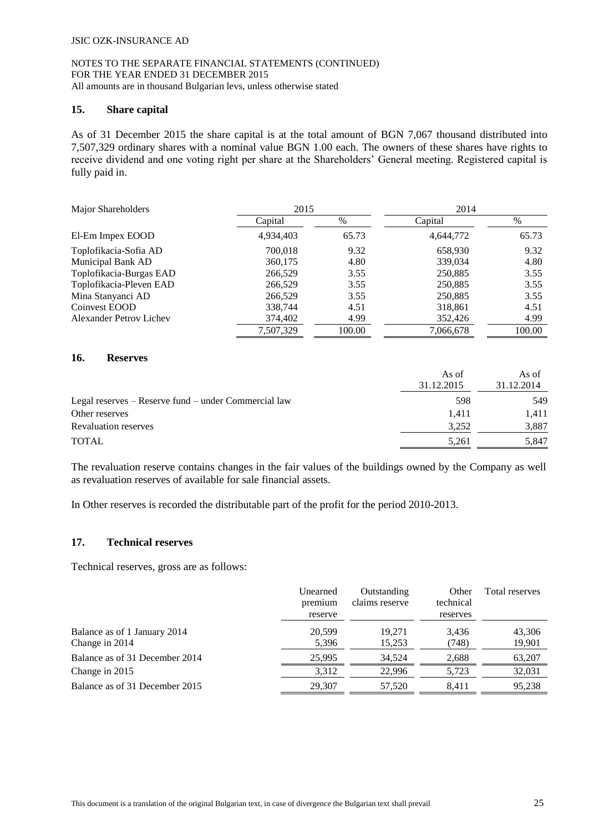#### NOTES TO THE SEPARATE FINANCIAL STATEMENTS (CONTINUED) FOR THE YEAR ENDED 31 DECEMBER 2015 All amounts are in thousand Bulgarian levs, unless otherwise stated

#### **15. Share capital**

As of 31 December 2015 the share capital is at the total amount of BGN 7,067 thousand distributed into 7,507,329 ordinary shares with a nominal value BGN 1.00 each. The owners of these shares have rights to receive dividend and one voting right per share at the Shareholders' General meeting. Registered capital is fully paid in.

| Major Shareholders             | 2015      |        | 2014      |        |
|--------------------------------|-----------|--------|-----------|--------|
|                                | Capital   | %      | Capital   | %      |
| El-Em Impex EOOD               | 4,934,403 | 65.73  | 4,644,772 | 65.73  |
| Toplofikacia-Sofia AD          | 700,018   | 9.32   | 658,930   | 9.32   |
| Municipal Bank AD              | 360,175   | 4.80   | 339,034   | 4.80   |
| Toplofikacia-Burgas EAD        | 266,529   | 3.55   | 250,885   | 3.55   |
| Toplofikacia-Pleven EAD        | 266,529   | 3.55   | 250,885   | 3.55   |
| Mina Stanyanci AD              | 266,529   | 3.55   | 250,885   | 3.55   |
| Coinvest EOOD                  | 338,744   | 4.51   | 318,861   | 4.51   |
| <b>Alexander Petrov Lichev</b> | 374,402   | 4.99   | 352,426   | 4.99   |
|                                | 7.507.329 | 100.00 | 7,066,678 | 100.00 |

### **16. Reserves**

|                                                      | As of      | As of      |
|------------------------------------------------------|------------|------------|
|                                                      | 31.12.2015 | 31.12.2014 |
| Legal reserves – Reserve fund – under Commercial law | 598        | 549        |
| Other reserves                                       | 1.411      | 1.411      |
| <b>Revaluation reserves</b>                          | 3.252      | 3,887      |
| <b>TOTAL</b>                                         | 5,261      | 5.847      |

The revaluation reserve contains changes in the fair values of the buildings owned by the Company as well as revaluation reserves of available for sale financial assets.

In Other reserves is recorded the distributable part of the profit for the period 2010-2013.

# **17. Technical reserves**

Technical reserves, gross are as follows:

|                                                | Unearned<br>premium<br>reserve | Outstanding<br>claims reserve | Other<br>technical<br>reserves | Total reserves   |
|------------------------------------------------|--------------------------------|-------------------------------|--------------------------------|------------------|
| Balance as of 1 January 2014<br>Change in 2014 | 20.599<br>5,396                | 19.271<br>15,253              | 3.436<br>(748)                 | 43,306<br>19,901 |
| Balance as of 31 December 2014                 | 25,995                         | 34.524                        | 2.688                          | 63,207           |
| Change in 2015                                 | 3,312                          | 22.996                        | 5.723                          | 32,031           |
| Balance as of 31 December 2015                 | 29.307                         | 57,520                        | 8.411                          | 95,238           |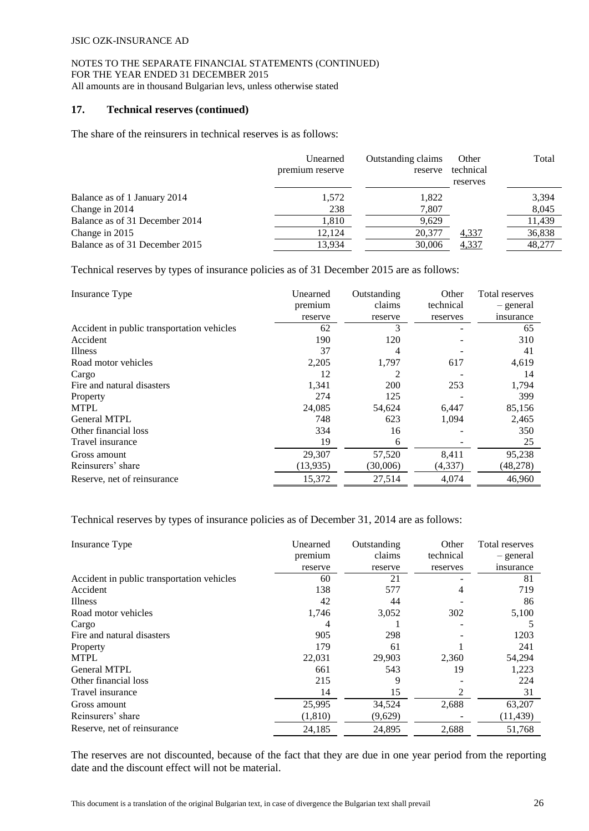### **17. Technical reserves (continued)**

The share of the reinsurers in technical reserves is as follows:

|                                | Unearned<br>premium reserve | Outstanding claims<br>reserve | Other<br>technical<br>reserves | Total  |
|--------------------------------|-----------------------------|-------------------------------|--------------------------------|--------|
| Balance as of 1 January 2014   | 1,572                       | 1,822                         |                                | 3,394  |
| Change in 2014                 | 238                         | 7,807                         |                                | 8,045  |
| Balance as of 31 December 2014 | 1,810                       | 9,629                         |                                | 11,439 |
| Change in 2015                 | 12.124                      | 20,377                        | 4,337                          | 36,838 |
| Balance as of 31 December 2015 | 13.934                      | 30,006                        | 4,337                          | 48,277 |

Technical reserves by types of insurance policies as of 31 December 2015 are as follows:

| Insurance Type                             | Unearned | Outstanding | Other     | Total reserves |
|--------------------------------------------|----------|-------------|-----------|----------------|
|                                            | premium  | claims      | technical | - general      |
|                                            | reserve  | reserve     | reserves  | insurance      |
| Accident in public transportation vehicles | 62       | 3           |           | 65             |
| Accident                                   | 190      | 120         |           | 310            |
| Illness                                    | 37       | 4           |           | 41             |
| Road motor vehicles                        | 2,205    | 1,797       | 617       | 4,619          |
| Cargo                                      | 12       | 2           |           | 14             |
| Fire and natural disasters                 | 1,341    | 200         | 253       | 1,794          |
| Property                                   | 274      | 125         |           | 399            |
| <b>MTPL</b>                                | 24,085   | 54,624      | 6,447     | 85,156         |
| <b>General MTPL</b>                        | 748      | 623         | 1,094     | 2,465          |
| Other financial loss                       | 334      | 16          |           | 350            |
| Travel insurance                           | 19       | 6           |           | 25             |
| Gross amount                               | 29,307   | 57,520      | 8,411     | 95,238         |
| Reinsurers' share                          | (13,935) | (30,006)    | (4,337)   | (48,278)       |
| Reserve, net of reinsurance                | 15,372   | 27,514      | 4,074     | 46,960         |

Technical reserves by types of insurance policies as of December 31, 2014 are as follows:

| Insurance Type                             | Unearned | Outstanding | Other     | Total reserves |
|--------------------------------------------|----------|-------------|-----------|----------------|
|                                            | premium  | claims      | technical | - general      |
|                                            | reserve  | reserve     | reserves  | insurance      |
| Accident in public transportation vehicles | 60       | 21          |           | 81             |
| Accident                                   | 138      | 577         | 4         | 719            |
| <b>Illness</b>                             | 42       | 44          |           | 86             |
| Road motor vehicles                        | 1,746    | 3,052       | 302       | 5,100          |
| Cargo                                      | 4        |             |           |                |
| Fire and natural disasters                 | 905      | 298         |           | 1203           |
| Property                                   | 179      | 61          |           | 241            |
| <b>MTPL</b>                                | 22,031   | 29,903      | 2,360     | 54,294         |
| General MTPL                               | 661      | 543         | 19        | 1,223          |
| Other financial loss                       | 215      | 9           |           | 224            |
| Travel insurance                           | 14       | 15          | 2         | 31             |
| Gross amount                               | 25,995   | 34,524      | 2,688     | 63,207         |
| Reinsurers' share                          | (1,810)  | (9,629)     |           | (11, 439)      |
| Reserve, net of reinsurance                | 24,185   | 24,895      | 2,688     | 51,768         |

The reserves are not discounted, because of the fact that they are due in one year period from the reporting date and the discount effect will not be material.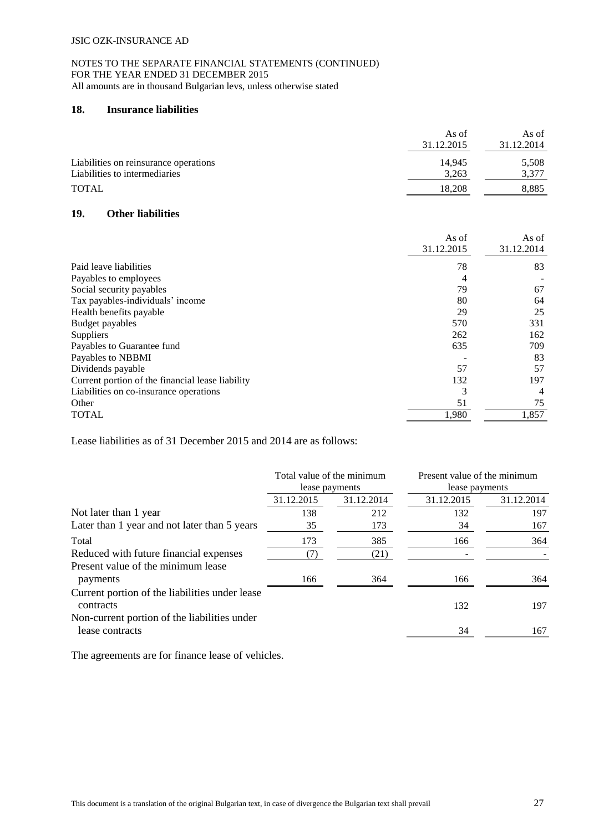# **18. Insurance liabilities**

|                                       | As of      | As of      |
|---------------------------------------|------------|------------|
|                                       | 31.12.2015 | 31.12.2014 |
| Liabilities on reinsurance operations | 14.945     | 5,508      |
| Liabilities to intermediaries         | 3.263      | 3.377      |
| <b>TOTAL</b>                          | 18.208     | 8,885      |
|                                       |            |            |

# **19. Other liabilities**

|                                                  | As of      | As of      |
|--------------------------------------------------|------------|------------|
|                                                  | 31.12.2015 | 31.12.2014 |
| Paid leave liabilities                           | 78         | 83         |
| Payables to employees                            |            |            |
| Social security payables                         | 79         | 67         |
| Tax payables-individuals' income                 | 80         | 64         |
| Health benefits payable                          | 29         | 25         |
| Budget payables                                  | 570        | 331        |
| Suppliers                                        | 262        | 162        |
| Payables to Guarantee fund                       | 635        | 709        |
| Payables to NBBMI                                |            | 83         |
| Dividends payable                                | 57         | 57         |
| Current portion of the financial lease liability | 132        | 197        |
| Liabilities on co-insurance operations           |            | 4          |
| Other                                            | 51         | 75         |
| <b>TOTAL</b>                                     | 1,980      | 1,857      |

Lease liabilities as of 31 December 2015 and 2014 are as follows:

|                                                                 | Total value of the minimum<br>lease payments |            | Present value of the minimum<br>lease payments |            |
|-----------------------------------------------------------------|----------------------------------------------|------------|------------------------------------------------|------------|
|                                                                 | 31.12.2015                                   | 31.12.2014 | 31.12.2015                                     | 31.12.2014 |
| Not later than 1 year                                           | 138                                          | 212        | 132                                            | 197        |
| Later than 1 year and not later than 5 years                    | 35                                           | 173        | 34                                             | 167        |
| Total                                                           | 173                                          | 385        | 166                                            | 364        |
| Reduced with future financial expenses                          | (7)                                          | (21)       |                                                |            |
| Present value of the minimum lease<br>payments                  | 166                                          | 364        | 166                                            | 364        |
| Current portion of the liabilities under lease<br>contracts     |                                              |            | 132                                            | 197        |
| Non-current portion of the liabilities under<br>lease contracts |                                              |            | 34                                             | 167        |

The agreements are for finance lease of vehicles.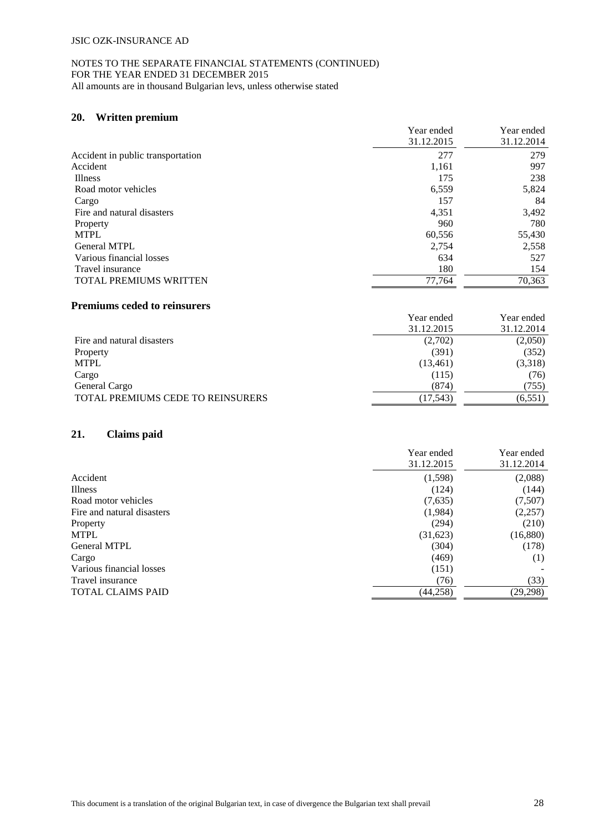# **20. Written premium**

|                                   | Year ended | Year ended |
|-----------------------------------|------------|------------|
|                                   | 31.12.2015 | 31.12.2014 |
| Accident in public transportation | 277        | 279        |
| Accident                          | 1,161      | 997        |
| <b>Illness</b>                    | 175        | 238        |
| Road motor vehicles               | 6,559      | 5,824      |
| Cargo                             | 157        | 84         |
| Fire and natural disasters        | 4,351      | 3,492      |
| Property                          | 960        | 780        |
| <b>MTPL</b>                       | 60,556     | 55,430     |
| <b>General MTPL</b>               | 2,754      | 2,558      |
| Various financial losses          | 634        | 527        |
| Travel insurance                  | 180        | 154        |
| <b>TOTAL PREMIUMS WRITTEN</b>     | 77.764     | 70,363     |

#### **Premiums ceded to reinsurers**

|                                   | Year ended | Year ended |
|-----------------------------------|------------|------------|
|                                   | 31.12.2015 | 31.12.2014 |
| Fire and natural disasters        | (2,702)    | (2,050)    |
| Property                          | (391)      | (352)      |
| MTPL                              | (13, 461)  | (3,318)    |
| Cargo                             | (115)      | (76)       |
| General Cargo                     | (874)      | (755)      |
| TOTAL PREMIUMS CEDE TO REINSURERS | (17, 543)  | (6, 551)   |

# **21. Claims paid**

|                            | Year ended | Year ended |
|----------------------------|------------|------------|
|                            | 31.12.2015 | 31.12.2014 |
| Accident                   | (1,598)    | (2,088)    |
| Illness                    | (124)      | (144)      |
| Road motor vehicles        | (7,635)    | (7,507)    |
| Fire and natural disasters | (1,984)    | (2,257)    |
| Property                   | (294)      | (210)      |
| <b>MTPL</b>                | (31,623)   | (16,880)   |
| General MTPL               | (304)      | (178)      |
| Cargo                      | (469)      | (1)        |
| Various financial losses   | (151)      |            |
| Travel insurance           | (76)       | (33)       |
| <b>TOTAL CLAIMS PAID</b>   | (44,258)   | (29, 298)  |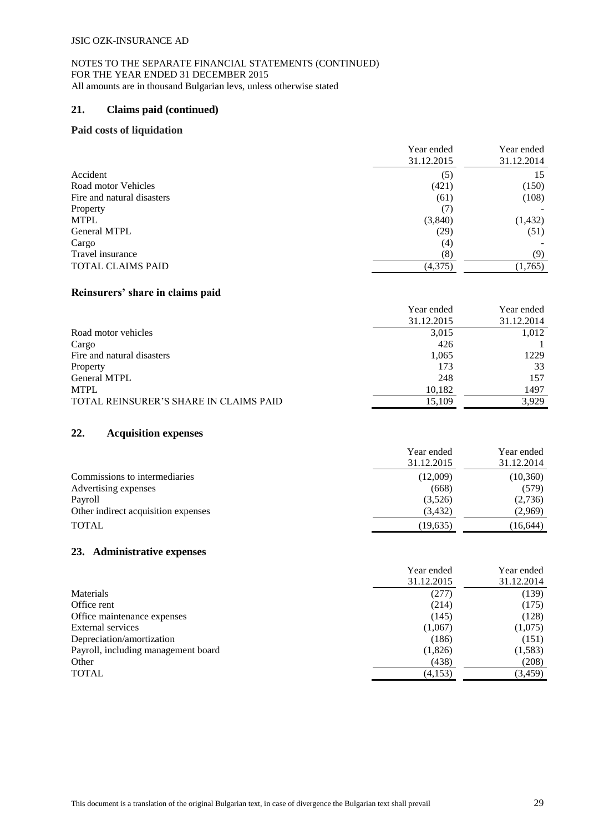# **21. Claims paid (continued)**

#### **Paid costs of liquidation**

|                            | Year ended | Year ended |
|----------------------------|------------|------------|
|                            | 31.12.2015 | 31.12.2014 |
| Accident                   | (5)        | 15         |
| Road motor Vehicles        | (421)      | (150)      |
| Fire and natural disasters | (61)       | (108)      |
| Property                   | (7)        |            |
| <b>MTPL</b>                | (3,840)    | (1, 432)   |
| <b>General MTPL</b>        | (29)       | (51)       |
| Cargo                      | (4)        |            |
| Travel insurance           | (8)        | (9)        |
| <b>TOTAL CLAIMS PAID</b>   | (4,375)    | (1,765)    |

#### **Reinsurers' share in claims paid**

|                                        | Year ended | Year ended |
|----------------------------------------|------------|------------|
|                                        | 31.12.2015 | 31.12.2014 |
| Road motor vehicles                    | 3,015      | 1,012      |
| Cargo                                  | 426        |            |
| Fire and natural disasters             | 1,065      | 1229       |
| Property                               | 173        | 33         |
| <b>General MTPL</b>                    | 248        | 157        |
| <b>MTPL</b>                            | 10,182     | 1497       |
| TOTAL REINSURER'S SHARE IN CLAIMS PAID | 15,109     | 3.929      |

## **22. Acquisition expenses**

|                                     | Year ended | Year ended |
|-------------------------------------|------------|------------|
|                                     | 31.12.2015 | 31.12.2014 |
| Commissions to intermediaries       | (12,009)   | (10, 360)  |
| Advertising expenses                | (668)      | (579)      |
| Payroll                             | (3,526)    | (2,736)    |
| Other indirect acquisition expenses | (3, 432)   | (2,969)    |
| <b>TOTAL</b>                        | (19,635)   | (16, 644)  |

#### **23. Administrative expenses**

|                                     | Year ended<br>31.12.2015 | Year ended<br>31.12.2014 |
|-------------------------------------|--------------------------|--------------------------|
| Materials                           | (277)                    | (139)                    |
| Office rent                         | (214)                    | (175)                    |
| Office maintenance expenses         | (145)                    | (128)                    |
| External services                   | (1,067)                  | (1,075)                  |
| Depreciation/amortization           | (186)                    | (151)                    |
| Payroll, including management board | (1,826)                  | (1, 583)                 |
| Other                               | (438)                    | (208)                    |
| <b>TOTAL</b>                        | (4,153)                  | (3, 459)                 |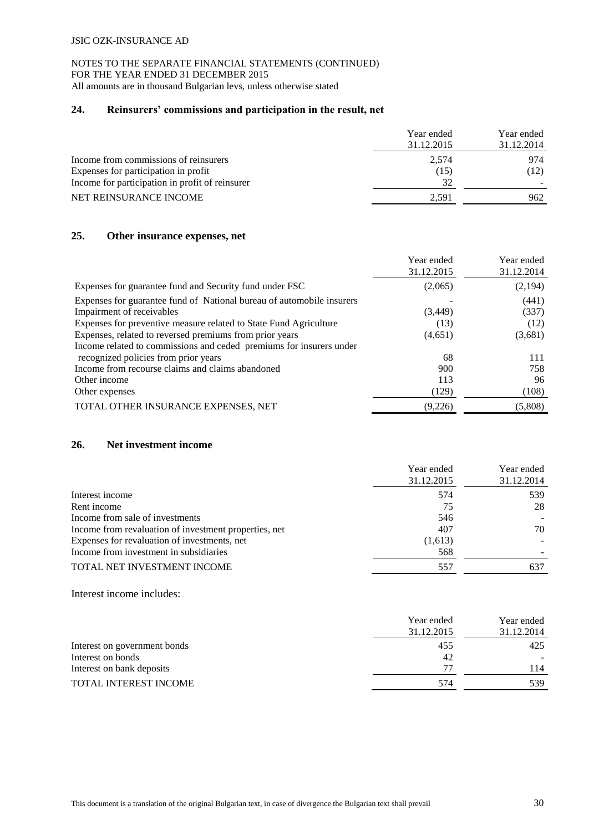# **24. Reinsurers' commissions and participation in the result, net**

|                                                 | Year ended<br>31.12.2015 | Year ended<br>31.12.2014 |
|-------------------------------------------------|--------------------------|--------------------------|
| Income from commissions of reinsurers           | 2.574                    | 974                      |
| Expenses for participation in profit            | (15)                     | (12)                     |
| Income for participation in profit of reinsurer | 32                       |                          |
| NET REINSURANCE INCOME                          | 2.591                    | 962                      |

### **25. Other insurance expenses, net**

|                                                                       | Year ended<br>31.12.2015 | Year ended<br>31.12.2014 |
|-----------------------------------------------------------------------|--------------------------|--------------------------|
| Expenses for guarantee fund and Security fund under FSC               | (2,065)                  | (2,194)                  |
| Expenses for guarantee fund of National bureau of automobile insurers |                          | (441)                    |
| Impairment of receivables                                             | (3, 449)                 | (337)                    |
| Expenses for preventive measure related to State Fund Agriculture     | (13)                     | (12)                     |
| Expenses, related to reversed premiums from prior years               | (4,651)                  | (3,681)                  |
| Income related to commissions and ceded premiums for insurers under   |                          |                          |
| recognized policies from prior years                                  | 68                       | 111                      |
| Income from recourse claims and claims abandoned                      | 900                      | 758                      |
| Other income                                                          | 113                      | 96                       |
| Other expenses                                                        | (129)                    | (108)                    |
| TOTAL OTHER INSURANCE EXPENSES, NET                                   | (9,226)                  | (5,808)                  |

# **26. Net investment income**

|                                                       | Year ended<br>31.12.2015 | Year ended<br>31.12.2014 |
|-------------------------------------------------------|--------------------------|--------------------------|
| Interest income                                       | 574                      | 539                      |
| Rent income                                           | 75                       | 28                       |
| Income from sale of investments                       | 546                      |                          |
| Income from revaluation of investment properties, net | 407                      | 70                       |
| Expenses for revaluation of investments, net          | (1,613)                  |                          |
| Income from investment in subsidiaries                | 568                      |                          |
| TOTAL NET INVESTMENT INCOME                           | 557                      | 637                      |

Interest income includes:

|                              | Year ended | Year ended |
|------------------------------|------------|------------|
|                              | 31.12.2015 | 31.12.2014 |
| Interest on government bonds | 455        | 425        |
| Interest on bonds            | 42         |            |
| Interest on bank deposits    |            | 114        |
| <b>TOTAL INTEREST INCOME</b> | 574        | 539        |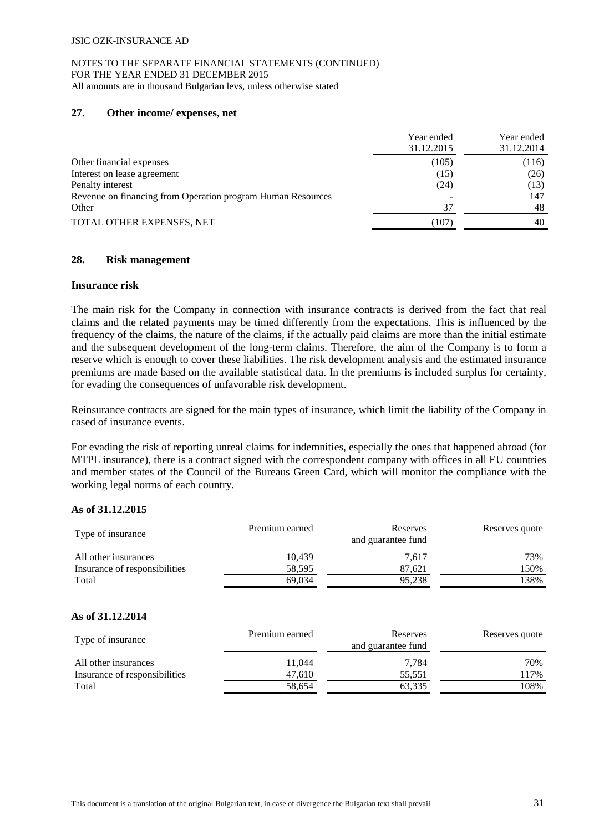### **27. Other income/ expenses, net**

|                                                             | Year ended<br>31.12.2015 | Year ended<br>31.12.2014 |
|-------------------------------------------------------------|--------------------------|--------------------------|
| Other financial expenses                                    | (105)                    | (116)                    |
| Interest on lease agreement                                 | (15)                     | (26)                     |
| Penalty interest                                            | (24)                     | (13)                     |
| Revenue on financing from Operation program Human Resources |                          | 147                      |
| Other                                                       | 37                       | 48                       |
| TOTAL OTHER EXPENSES, NET                                   | (107)                    | 40                       |

### **28. Risk management**

#### **Insurance risk**

The main risk for the Company in connection with insurance contracts is derived from the fact that real claims and the related payments may be timed differently from the expectations. This is influenced by the frequency of the claims, the nature of the claims, if the actually paid claims are more than the initial estimate and the subsequent development of the long-term claims. Therefore, the aim of the Company is to form a reserve which is enough to cover these liabilities. The risk development analysis and the estimated insurance premiums are made based on the available statistical data. In the premiums is included surplus for certainty, for evading the consequences of unfavorable risk development.

Reinsurance contracts are signed for the main types of insurance, which limit the liability of the Company in cased of insurance events.

For evading the risk of reporting unreal claims for indemnities, especially the ones that happened abroad (for MTPL insurance), there is a contract signed with the correspondent company with offices in all EU countries and member states of the Council of the Bureaus Green Card, which will monitor the compliance with the working legal norms of each country.

# **As of 31.12.2015**

| Type of insurance             | Premium earned | Reserves<br>and guarantee fund | Reserves quote |
|-------------------------------|----------------|--------------------------------|----------------|
| All other insurances          | 10.439         | 7.617                          | 73%            |
| Insurance of responsibilities | 58,595         | 87.621                         | 150%           |
| Total                         | 69.034         | 95,238                         | 138%           |

# **As of 31.12.2014**

| Type of insurance             | Premium earned | Reserves<br>and guarantee fund | Reserves quote |
|-------------------------------|----------------|--------------------------------|----------------|
| All other insurances          | 11.044         | 7.784                          | 70%            |
| Insurance of responsibilities | 47.610         | 55,551                         | 117%           |
| Total                         | 58,654         | 63,335                         | 108%           |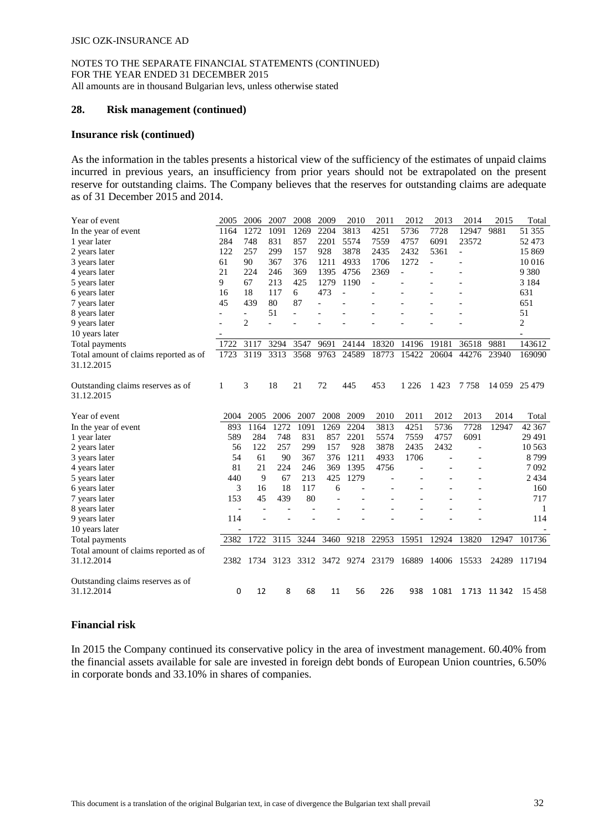#### **28. Risk management (continued)**

#### **Insurance risk (continued)**

As the information in the tables presents a historical view of the sufficiency of the estimates of unpaid claims incurred in previous years, an insufficiency from prior years should not be extrapolated on the present reserve for outstanding claims. The Company believes that the reserves for outstanding claims are adequate as of 31 December 2015 and 2014.

| Year of event                                       | 2005                     | 2006                     | 2007 | 2008 | 2009 | 2010           | 2011           | 2012           | 2013           | 2014           | 2015       | Total         |
|-----------------------------------------------------|--------------------------|--------------------------|------|------|------|----------------|----------------|----------------|----------------|----------------|------------|---------------|
| In the year of event                                | 1164                     | 1272                     | 1091 | 1269 | 2204 | 3813           | 4251           | 5736           | 7728           | 12947          | 9881       | 51 355        |
| 1 year later                                        | 284                      | 748                      | 831  | 857  | 2201 | 5574           | 7559           | 4757           | 6091           | 23572          |            | 52 473        |
| 2 years later                                       | 122                      | 257                      | 299  | 157  | 928  | 3878           | 2435           | 2432           | 5361           | $\overline{a}$ |            | 15 869        |
| 3 years later                                       | 61                       | 90                       | 367  | 376  | 1211 | 4933           | 1706           | 1272           | $\overline{a}$ |                |            | 10 016        |
| 4 years later                                       | 21                       | 224                      | 246  | 369  | 1395 | 4756           | 2369           | $\overline{a}$ |                |                |            | 9 3 8 0       |
| 5 years later                                       | 9                        | 67                       | 213  | 425  | 1279 | 1190           | $\overline{a}$ |                |                |                |            | 3 1 8 4       |
| 6 years later                                       | 16                       | 18                       | 117  | 6    | 473  | $\overline{a}$ |                |                |                |                |            | 631           |
| 7 years later                                       | 45                       | 439                      | 80   | 87   |      |                |                |                |                |                |            | 651           |
| 8 years later                                       |                          | $\overline{\phantom{0}}$ | 51   |      |      |                |                |                |                |                |            | 51            |
| 9 years later                                       |                          | $\overline{2}$           |      |      |      |                |                |                |                |                |            | 2             |
| 10 years later                                      |                          |                          |      |      |      |                |                |                |                |                |            |               |
| Total payments                                      | 1722                     | 3117                     | 3294 | 3547 | 9691 | 24144          | 18320          | 14196          | 19181          | 36518          | 9881       | 143612        |
| Total amount of claims reported as of               | 1723                     | 3119                     | 3313 | 3568 | 9763 | 24589          | 18773          | 15422          | 20604          | 44276          | 23940      | 169090        |
| 31.12.2015                                          |                          |                          |      |      |      |                |                |                |                |                |            |               |
|                                                     |                          |                          |      |      |      |                |                |                |                |                |            |               |
| Outstanding claims reserves as of                   | 1                        | 3                        | 18   | 21   | 72   | 445            | 453            | 1 2 2 6        | 1423           | 7758           |            | 14 059 25 479 |
| 31.12.2015                                          |                          |                          |      |      |      |                |                |                |                |                |            |               |
|                                                     |                          |                          |      |      |      |                |                |                |                |                |            |               |
|                                                     | 2004                     |                          |      | 2007 | 2008 | 2009           | 2010           | 2011           | 2012           | 2013           | 2014       | Total         |
| Year of event                                       |                          | 2005                     | 2006 |      |      |                |                |                |                |                |            |               |
| In the year of event                                | 893                      | 1164                     | 1272 | 1091 | 1269 | 2204           | 3813           | 4251           | 5736           | 7728           | 12947      | 42 367        |
| 1 year later                                        | 589                      | 284                      | 748  | 831  | 857  | 2201           | 5574           | 7559           | 4757           | 6091           |            | 29 4 91       |
| 2 years later                                       | 56                       | 122                      | 257  | 299  | 157  | 928            | 3878           | 2435           | 2432           |                |            | 10 5 63       |
| 3 years later                                       | 54                       | 61                       | 90   | 367  | 376  | 1211           | 4933           | 1706           |                |                |            | 8799          |
| 4 years later                                       | 81                       | 21                       | 224  | 246  | 369  | 1395           | 4756           |                |                |                |            | 7092          |
| 5 years later                                       | 440                      | 9                        | 67   | 213  | 425  | 1279           |                |                |                |                |            | 2 4 3 4       |
| 6 years later                                       | 3                        | 16                       | 18   | 117  | 6    |                |                |                |                |                |            | 160           |
| 7 years later                                       | 153                      | 45                       | 439  | 80   |      |                |                |                |                |                |            | 717           |
| 8 years later                                       | $\overline{\phantom{a}}$ |                          |      |      |      |                |                |                |                |                |            | -1            |
| 9 years later                                       | 114                      |                          |      |      |      |                |                |                |                |                |            | 114           |
| 10 years later                                      |                          |                          |      |      |      |                |                |                |                |                |            |               |
| Total payments                                      | 2382                     | 1722                     | 3115 | 3244 | 3460 | 9218           | 22953          | 15951          | 12924          | 13820          | 12947      | 101736        |
|                                                     |                          |                          |      |      |      |                |                |                |                |                |            |               |
| Total amount of claims reported as of<br>31.12.2014 | 2382                     | 1734                     | 3123 | 3312 | 3472 | 9274           | 23179          | 16889          | 14006          | 15533          | 24289      | 117194        |
|                                                     |                          |                          |      |      |      |                |                |                |                |                |            |               |
|                                                     |                          |                          |      |      |      |                |                |                |                |                |            |               |
| Outstanding claims reserves as of<br>31.12.2014     | 0                        | 12                       | 8    | 68   | 11   | 56             | 226            | 938            | 1081           |                | 1713 11342 | 15458         |

# **Financial risk**

In 2015 the Company continued its conservative policy in the area of investment management. 60.40% from the financial assets available for sale are invested in foreign debt bonds of European Union countries, 6.50% in corporate bonds and 33.10% in shares of companies.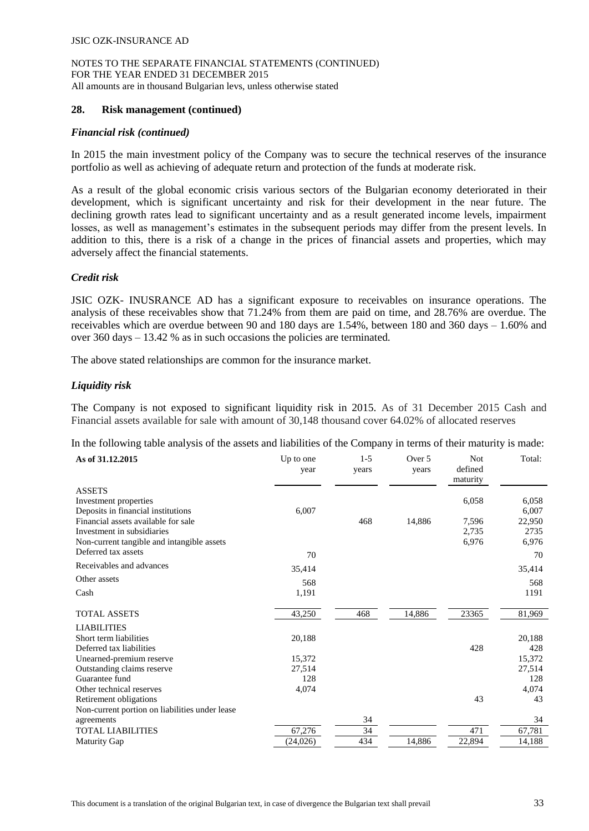#### **28. Risk management (continued)**

#### *Financial risk (continued)*

In 2015 the main investment policy of the Company was to secure the technical reserves of the insurance portfolio as well as achieving of adequate return and protection of the funds at moderate risk.

As a result of the global economic crisis various sectors of the Bulgarian economy deteriorated in their development, which is significant uncertainty and risk for their development in the near future. The declining growth rates lead to significant uncertainty and as a result generated income levels, impairment losses, as well as management's estimates in the subsequent periods may differ from the present levels. In addition to this, there is a risk of a change in the prices of financial assets and properties, which may adversely affect the financial statements.

### *Credit risk*

JSIC OZK- INUSRANCE AD has a significant exposure to receivables on insurance operations. The analysis of these receivables show that 71.24% from them are paid on time, and 28.76% are overdue. The receivables which are overdue between 90 and 180 days are 1.54%, between 180 and 360 days – 1.60% and over 360 days – 13.42 % as in such occasions the policies are terminated.

The above stated relationships are common for the insurance market.

#### *Liquidity risk*

The Company is not exposed to significant liquidity risk in 2015. As of 31 December 2015 Cash and Financial assets available for sale with amount of 30,148 thousand cover 64.02% of allocated reserves

In the following table analysis of the assets and liabilities of the Company in terms of their maturity is made:

| As of 31.12.2015                               | Up to one<br>year | $1 - 5$<br>years | Over 5<br>years | <b>Not</b><br>defined<br>maturity | Total: |
|------------------------------------------------|-------------------|------------------|-----------------|-----------------------------------|--------|
| <b>ASSETS</b>                                  |                   |                  |                 |                                   |        |
| Investment properties                          |                   |                  |                 | 6,058                             | 6,058  |
| Deposits in financial institutions             | 6,007             |                  |                 |                                   | 6,007  |
| Financial assets available for sale            |                   | 468              | 14,886          | 7,596                             | 22,950 |
| Investment in subsidiaries                     |                   |                  |                 | 2,735                             | 2735   |
| Non-current tangible and intangible assets     |                   |                  |                 | 6,976                             | 6,976  |
| Deferred tax assets                            | 70                |                  |                 |                                   | 70     |
| Receivables and advances                       | 35,414            |                  |                 |                                   | 35,414 |
| Other assets                                   | 568               |                  |                 |                                   | 568    |
| Cash                                           | 1,191             |                  |                 |                                   | 1191   |
| <b>TOTAL ASSETS</b>                            | 43,250            | 468              | 14,886          | 23365                             | 81,969 |
| <b>LIABILITIES</b>                             |                   |                  |                 |                                   |        |
| Short term liabilities                         | 20,188            |                  |                 |                                   | 20,188 |
| Deferred tax liabilities                       |                   |                  |                 | 428                               | 428    |
| Unearned-premium reserve                       | 15,372            |                  |                 |                                   | 15,372 |
| Outstanding claims reserve                     | 27,514            |                  |                 |                                   | 27,514 |
| Guarantee fund                                 | 128               |                  |                 |                                   | 128    |
| Other technical reserves                       | 4,074             |                  |                 |                                   | 4,074  |
| Retirement obligations                         |                   |                  |                 | 43                                | 43     |
| Non-current portion on liabilities under lease |                   |                  |                 |                                   |        |
| agreements                                     |                   | 34               |                 |                                   | 34     |
| <b>TOTAL LIABILITIES</b>                       | 67,276            | 34               |                 | 471                               | 67,781 |
| <b>Maturity Gap</b>                            | (24, 026)         | 434              | 14,886          | 22,894                            | 14,188 |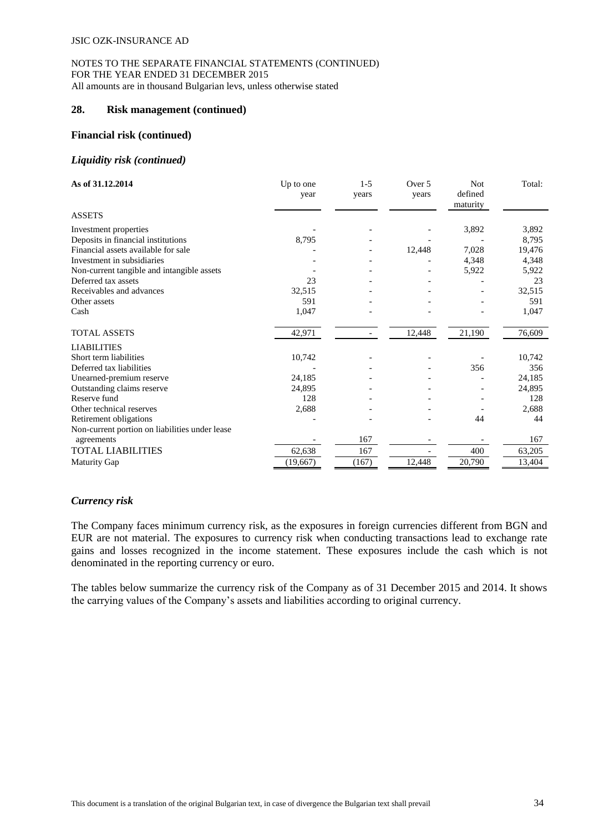### **28. Risk management (continued)**

#### **Financial risk (continued)**

#### *Liquidity risk (continued)*

| As of 31.12.2014                               | Up to one<br>year | $1 - 5$<br>years | Over 5<br>years | Not<br>defined<br>maturity | Total: |
|------------------------------------------------|-------------------|------------------|-----------------|----------------------------|--------|
| <b>ASSETS</b>                                  |                   |                  |                 |                            |        |
| Investment properties                          |                   |                  |                 | 3,892                      | 3,892  |
| Deposits in financial institutions             | 8,795             |                  |                 |                            | 8,795  |
| Financial assets available for sale            |                   |                  | 12,448          | 7,028                      | 19,476 |
| Investment in subsidiaries                     |                   |                  |                 | 4,348                      | 4,348  |
| Non-current tangible and intangible assets     |                   |                  |                 | 5,922                      | 5,922  |
| Deferred tax assets                            | 23                |                  |                 |                            | 23     |
| Receivables and advances                       | 32,515            |                  |                 |                            | 32,515 |
| Other assets                                   | 591               |                  |                 |                            | 591    |
| Cash                                           | 1,047             |                  |                 |                            | 1,047  |
| <b>TOTAL ASSETS</b>                            | 42,971            |                  | 12,448          | 21,190                     | 76,609 |
| <b>LIABILITIES</b>                             |                   |                  |                 |                            |        |
| Short term liabilities                         | 10,742            |                  |                 |                            | 10,742 |
| Deferred tax liabilities                       |                   |                  |                 | 356                        | 356    |
| Unearned-premium reserve                       | 24,185            |                  |                 |                            | 24,185 |
| Outstanding claims reserve                     | 24,895            |                  |                 |                            | 24,895 |
| Reserve fund                                   | 128               |                  |                 |                            | 128    |
| Other technical reserves                       | 2,688             |                  |                 |                            | 2,688  |
| Retirement obligations                         |                   |                  |                 | 44                         | 44     |
| Non-current portion on liabilities under lease |                   |                  |                 |                            |        |
| agreements                                     |                   | 167              |                 |                            | 167    |
| <b>TOTAL LIABILITIES</b>                       | 62,638            | 167              |                 | 400                        | 63,205 |
| <b>Maturity Gap</b>                            | (19,667)          | (167)            | 12,448          | 20,790                     | 13,404 |

#### *Currency risk*

The Company faces minimum currency risk, as the exposures in foreign currencies different from BGN and EUR are not material. The exposures to currency risk when conducting transactions lead to exchange rate gains and losses recognized in the income statement. These exposures include the cash which is not denominated in the reporting currency or euro.

The tables below summarize the currency risk of the Company as of 31 December 2015 and 2014. It shows the carrying values of the Company's assets and liabilities according to original currency.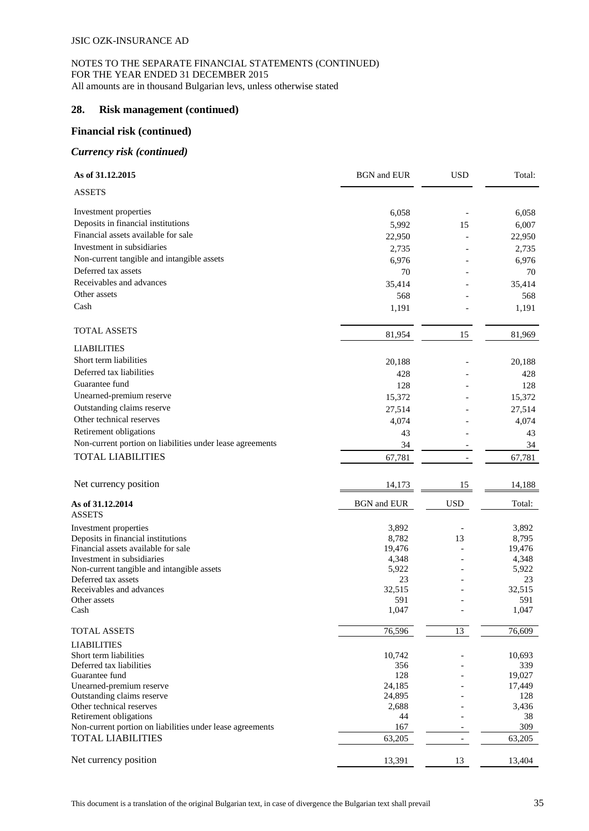### **28. Risk management (continued)**

# **Financial risk (continued)**

#### *Currency risk (continued)*

| As of 31.12.2015                                          | <b>BGN</b> and <b>EUR</b> | <b>USD</b> | Total:        |
|-----------------------------------------------------------|---------------------------|------------|---------------|
| <b>ASSETS</b>                                             |                           |            |               |
| Investment properties                                     | 6,058                     |            | 6,058         |
| Deposits in financial institutions                        | 5,992                     | 15         | 6,007         |
| Financial assets available for sale                       | 22,950                    |            | 22,950        |
| Investment in subsidiaries                                | 2,735                     |            | 2,735         |
| Non-current tangible and intangible assets                | 6,976                     |            | 6,976         |
| Deferred tax assets                                       | 70                        |            | 70            |
| Receivables and advances                                  | 35,414                    |            | 35,414        |
| Other assets                                              | 568                       |            | 568           |
| Cash                                                      | 1,191                     |            | 1,191         |
| <b>TOTAL ASSETS</b>                                       | 81,954                    | 15         | 81,969        |
| <b>LIABILITIES</b>                                        |                           |            |               |
| Short term liabilities                                    |                           |            |               |
|                                                           | 20,188                    |            | 20,188        |
| Deferred tax liabilities                                  | 428                       |            | 428           |
| Guarantee fund                                            | 128                       |            | 128           |
| Unearned-premium reserve                                  | 15,372                    |            | 15,372        |
| Outstanding claims reserve                                | 27,514                    |            | 27,514        |
| Other technical reserves                                  | 4,074                     |            | 4,074         |
| Retirement obligations                                    | 43                        |            | 43            |
| Non-current portion on liabilities under lease agreements | 34                        |            | 34            |
| <b>TOTAL LIABILITIES</b>                                  | 67,781                    |            | 67,781        |
| Net currency position                                     | 14,173                    | 15         | 14,188        |
| As of 31.12.2014<br><b>ASSETS</b>                         | <b>BGN</b> and EUR        | <b>USD</b> | Total:        |
| Investment properties                                     | 3,892                     |            | 3,892         |
| Deposits in financial institutions                        | 8,782                     | 13         | 8,795         |
| Financial assets available for sale                       | 19,476                    |            | 19,476        |
| Investment in subsidiaries                                | 4,348                     |            | 4,348         |
| Non-current tangible and intangible assets                | 5,922                     |            | 5,922         |
| Deferred tax assets                                       | 23                        |            | 23            |
| Receivables and advances<br>Other assets                  | 32,515<br>591             |            | 32,515<br>591 |
| Cash                                                      | 1,047                     |            | 1,047         |
| TOTAL ASSETS                                              | 76,596                    | 13         | 76,609        |
| <b>LIABILITIES</b>                                        |                           |            |               |
| Short term liabilities                                    | 10,742                    |            | 10,693        |
| Deferred tax liabilities                                  | 356                       |            | 339           |
| Guarantee fund                                            | 128                       |            | 19,027        |
| Unearned-premium reserve<br>Outstanding claims reserve    | 24,185<br>24,895          |            | 17,449<br>128 |
| Other technical reserves                                  | 2,688                     |            | 3,436         |
| Retirement obligations                                    | 44                        |            | 38            |
| Non-current portion on liabilities under lease agreements | 167                       |            | 309           |
| <b>TOTAL LIABILITIES</b>                                  | 63,205                    |            | 63,205        |
| Net currency position                                     | 13,391                    | 13         | 13,404        |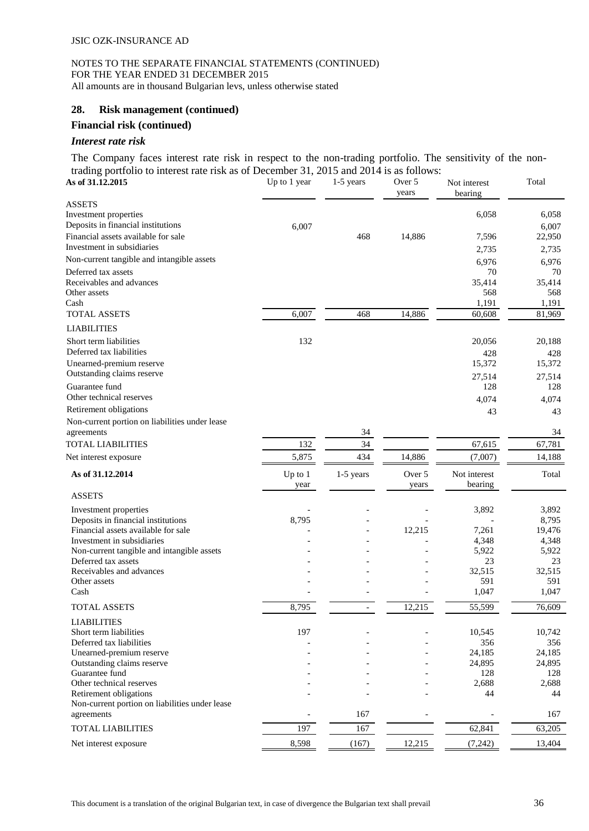# **28. Risk management (continued)**

# **Financial risk (continued)**

#### *Interest rate risk*

The Company faces interest rate risk in respect to the non-trading portfolio. The sensitivity of the nontrading portfolio to interest rate risk as of December 31, 2015 and 2014 is as follows:

| $\alpha$ and $\beta$ by those of the rest rate risk as of December 31, 2019 and 2014 is as follows.<br>As of 31.12.2015 | Up to 1 year      | $1-5$ years    | Over 5<br>years | Not interest<br>bearing | Total          |
|-------------------------------------------------------------------------------------------------------------------------|-------------------|----------------|-----------------|-------------------------|----------------|
| <b>ASSETS</b><br>Investment properties<br>Deposits in financial institutions                                            | 6,007             |                |                 | 6,058                   | 6,058<br>6,007 |
| Financial assets available for sale                                                                                     |                   | 468            | 14,886          | 7,596                   | 22,950         |
| Investment in subsidiaries                                                                                              |                   |                |                 | 2,735                   | 2,735          |
| Non-current tangible and intangible assets                                                                              |                   |                |                 | 6,976                   | 6,976          |
| Deferred tax assets                                                                                                     |                   |                |                 | 70                      | 70             |
| Receivables and advances<br>Other assets                                                                                |                   |                |                 | 35,414<br>568           | 35,414<br>568  |
| Cash                                                                                                                    |                   |                |                 | 1,191                   | 1,191          |
| <b>TOTAL ASSETS</b>                                                                                                     | 6,007             | 468            | 14,886          | 60,608                  | 81,969         |
| <b>LIABILITIES</b>                                                                                                      |                   |                |                 |                         |                |
| Short term liabilities<br>Deferred tax liabilities                                                                      | 132               |                |                 | 20,056<br>428           | 20,188<br>428  |
| Unearned-premium reserve                                                                                                |                   |                |                 | 15,372                  | 15,372         |
| Outstanding claims reserve                                                                                              |                   |                |                 | 27,514                  | 27,514         |
| Guarantee fund                                                                                                          |                   |                |                 | 128                     | 128            |
| Other technical reserves                                                                                                |                   |                |                 | 4,074                   | 4,074          |
| Retirement obligations                                                                                                  |                   |                |                 | 43                      | 43             |
| Non-current portion on liabilities under lease<br>agreements                                                            |                   | 34             |                 |                         | 34             |
| <b>TOTAL LIABILITIES</b>                                                                                                | 132               | 34             |                 | 67,615                  | 67,781         |
| Net interest exposure                                                                                                   | 5,875             | 434            | 14,886          | (7,007)                 | 14,188         |
| As of 31.12.2014                                                                                                        | Up to $1$<br>year | 1-5 years      | Over 5<br>years | Not interest<br>bearing | Total          |
| <b>ASSETS</b>                                                                                                           |                   |                |                 |                         |                |
| Investment properties                                                                                                   |                   |                |                 | 3,892                   | 3,892          |
| Deposits in financial institutions                                                                                      | 8,795             |                |                 |                         | 8,795          |
| Financial assets available for sale<br>Investment in subsidiaries                                                       |                   |                | 12,215          | 7,261                   | 19,476         |
| Non-current tangible and intangible assets                                                                              |                   |                |                 | 4,348<br>5,922          | 4,348<br>5,922 |
| Deferred tax assets                                                                                                     |                   |                |                 | 23                      | 23             |
| Receivables and advances                                                                                                |                   |                |                 | 32,515                  | 32,515         |
| Other assets<br>Cash                                                                                                    |                   |                |                 | 591                     | 591            |
|                                                                                                                         |                   |                |                 | 1,047                   | 1,047          |
| <b>TOTAL ASSETS</b>                                                                                                     | 8,795             | $\overline{a}$ | 12,215          | 55,599                  | 76,609         |
| <b>LIABILITIES</b>                                                                                                      |                   |                |                 |                         |                |
| Short term liabilities<br>Deferred tax liabilities                                                                      | 197               |                |                 | 10,545<br>356           | 10,742<br>356  |
| Unearned-premium reserve                                                                                                |                   |                |                 | 24,185                  | 24,185         |
| Outstanding claims reserve                                                                                              |                   |                |                 | 24,895                  | 24,895         |
| Guarantee fund                                                                                                          |                   |                |                 | 128                     | 128            |
| Other technical reserves                                                                                                |                   |                |                 | 2,688                   | 2,688          |
| Retirement obligations<br>Non-current portion on liabilities under lease                                                |                   |                |                 | 44                      | 44             |
| agreements                                                                                                              |                   | 167            |                 |                         | 167            |
| <b>TOTAL LIABILITIES</b>                                                                                                | 197               | 167            |                 | 62,841                  | 63,205         |
| Net interest exposure                                                                                                   | 8,598             | (167)          | 12,215          | (7, 242)                | 13,404         |